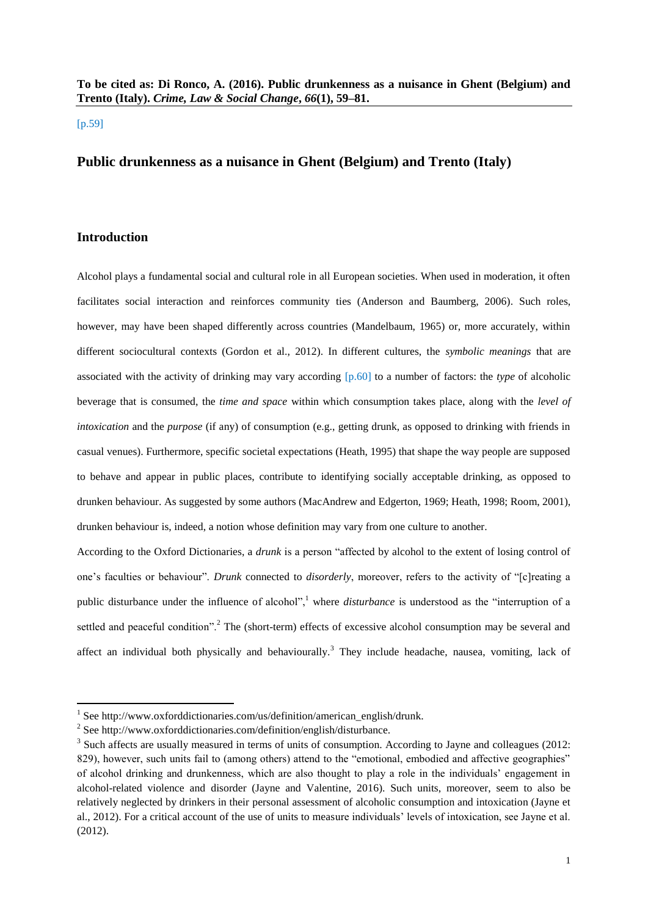[p.59]

# **Public drunkenness as a nuisance in Ghent (Belgium) and Trento (Italy)**

### **Introduction**

**.** 

Alcohol plays a fundamental social and cultural role in all European societies. When used in moderation, it often facilitates social interaction and reinforces community ties (Anderson and Baumberg, 2006). Such roles, however, may have been shaped differently across countries (Mandelbaum, 1965) or, more accurately, within different sociocultural contexts (Gordon et al., 2012). In different cultures, the *symbolic meanings* that are associated with the activity of drinking may vary according [p.60] to a number of factors: the *type* of alcoholic beverage that is consumed, the *time and space* within which consumption takes place, along with the *level of intoxication* and the *purpose* (if any) of consumption (e.g., getting drunk, as opposed to drinking with friends in casual venues). Furthermore, specific societal expectations (Heath, 1995) that shape the way people are supposed to behave and appear in public places, contribute to identifying socially acceptable drinking, as opposed to drunken behaviour. As suggested by some authors (MacAndrew and Edgerton*,* 1969; Heath, 1998; Room, 2001), drunken behaviour is, indeed, a notion whose definition may vary from one culture to another.

According to the Oxford Dictionaries, a *drunk* is a person "affected by alcohol to the extent of losing control of one's faculties or behaviour". *Drunk* connected to *disorderly*, moreover, refers to the activity of "[c]reating a public disturbance under the influence of alcohol<sup>",1</sup> where *disturbance* is understood as the "interruption of a settled and peaceful condition".<sup>2</sup> The (short-term) effects of excessive alcohol consumption may be several and affect an individual both physically and behaviourally.<sup>3</sup> They include headache, nausea, vomiting, lack of

<sup>&</sup>lt;sup>1</sup> See http://www.oxforddictionaries.com/us/definition/american\_english/drunk.

<sup>&</sup>lt;sup>2</sup> See http://www.oxforddictionaries.com/definition/english/disturbance.

 $3$  Such affects are usually measured in terms of units of consumption. According to Jayne and colleagues (2012: 829), however, such units fail to (among others) attend to the "emotional, embodied and affective geographies" of alcohol drinking and drunkenness, which are also thought to play a role in the individuals' engagement in alcohol-related violence and disorder (Jayne and Valentine, 2016). Such units, moreover, seem to also be relatively neglected by drinkers in their personal assessment of alcoholic consumption and intoxication (Jayne et al., 2012). For a critical account of the use of units to measure individuals' levels of intoxication, see Jayne et al. (2012).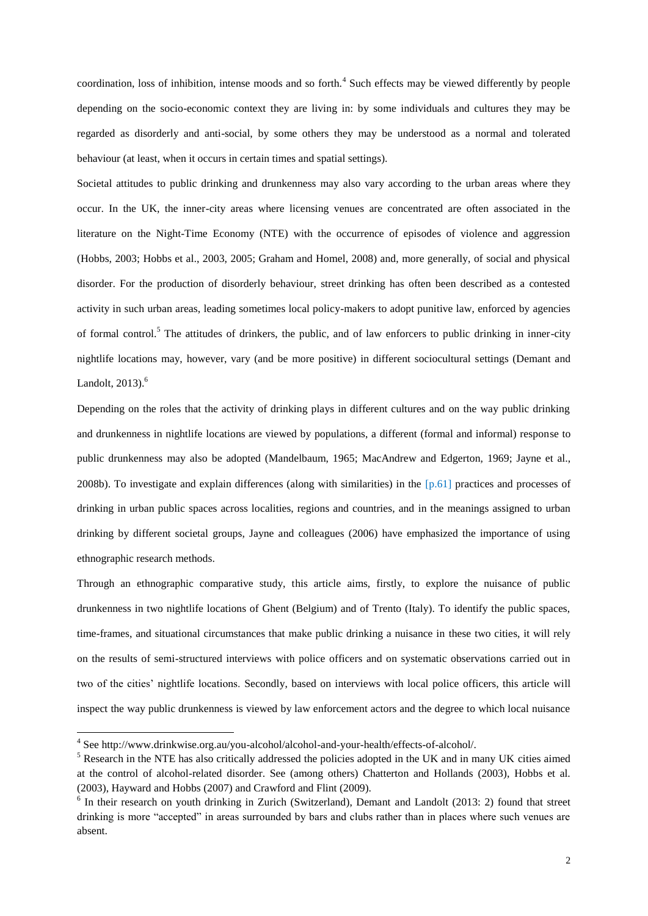coordination, loss of inhibition, intense moods and so forth.<sup>4</sup> Such effects may be viewed differently by people depending on the socio-economic context they are living in: by some individuals and cultures they may be regarded as disorderly and anti-social, by some others they may be understood as a normal and tolerated behaviour (at least, when it occurs in certain times and spatial settings).

Societal attitudes to public drinking and drunkenness may also vary according to the urban areas where they occur. In the UK, the inner-city areas where licensing venues are concentrated are often associated in the literature on the Night-Time Economy (NTE) with the occurrence of episodes of violence and aggression (Hobbs, 2003; Hobbs et al., 2003, 2005; Graham and Homel, 2008) and, more generally, of social and physical disorder. For the production of disorderly behaviour, street drinking has often been described as a contested activity in such urban areas, leading sometimes local policy-makers to adopt punitive law, enforced by agencies of formal control.<sup>5</sup> The attitudes of drinkers, the public, and of law enforcers to public drinking in inner-city nightlife locations may, however, vary (and be more positive) in different sociocultural settings (Demant and Landolt,  $2013$ .<sup>6</sup>

Depending on the roles that the activity of drinking plays in different cultures and on the way public drinking and drunkenness in nightlife locations are viewed by populations, a different (formal and informal) response to public drunkenness may also be adopted (Mandelbaum, 1965; MacAndrew and Edgerton*,* 1969; Jayne et al., 2008b). To investigate and explain differences (along with similarities) in the  $[p,61]$  practices and processes of drinking in urban public spaces across localities, regions and countries, and in the meanings assigned to urban drinking by different societal groups, Jayne and colleagues (2006) have emphasized the importance of using ethnographic research methods.

Through an ethnographic comparative study, this article aims, firstly, to explore the nuisance of public drunkenness in two nightlife locations of Ghent (Belgium) and of Trento (Italy). To identify the public spaces, time-frames, and situational circumstances that make public drinking a nuisance in these two cities, it will rely on the results of semi-structured interviews with police officers and on systematic observations carried out in two of the cities' nightlife locations. Secondly, based on interviews with local police officers, this article will inspect the way public drunkenness is viewed by law enforcement actors and the degree to which local nuisance

 $\overline{\phantom{a}}$ 

<sup>4</sup> See http://www.drinkwise.org.au/you-alcohol/alcohol-and-your-health/effects-of-alcohol/.

<sup>5</sup> Research in the NTE has also critically addressed the policies adopted in the UK and in many UK cities aimed at the control of alcohol-related disorder. See (among others) Chatterton and Hollands (2003), Hobbs et al. (2003), Hayward and Hobbs (2007) and Crawford and Flint (2009).

<sup>&</sup>lt;sup>6</sup> In their research on youth drinking in Zurich (Switzerland), Demant and Landolt (2013: 2) found that street drinking is more "accepted" in areas surrounded by bars and clubs rather than in places where such venues are absent.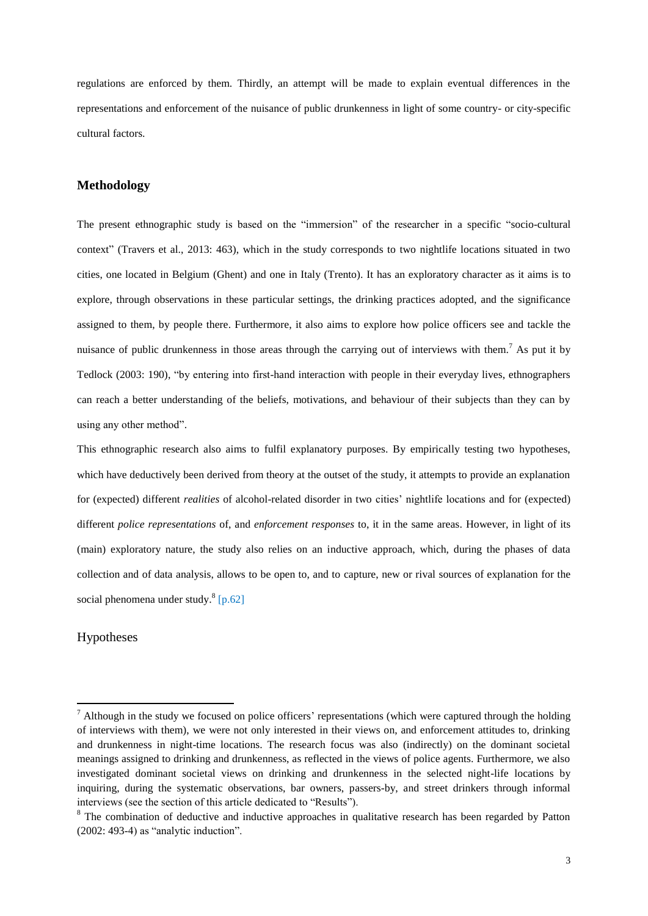regulations are enforced by them. Thirdly, an attempt will be made to explain eventual differences in the representations and enforcement of the nuisance of public drunkenness in light of some country- or city-specific cultural factors.

## **Methodology**

The present ethnographic study is based on the "immersion" of the researcher in a specific "socio-cultural context" (Travers et al., 2013: 463), which in the study corresponds to two nightlife locations situated in two cities, one located in Belgium (Ghent) and one in Italy (Trento). It has an exploratory character as it aims is to explore, through observations in these particular settings, the drinking practices adopted, and the significance assigned to them, by people there. Furthermore, it also aims to explore how police officers see and tackle the nuisance of public drunkenness in those areas through the carrying out of interviews with them.<sup>7</sup> As put it by Tedlock (2003: 190), "by entering into first-hand interaction with people in their everyday lives, ethnographers can reach a better understanding of the beliefs, motivations, and behaviour of their subjects than they can by using any other method".

This ethnographic research also aims to fulfil explanatory purposes. By empirically testing two hypotheses, which have deductively been derived from theory at the outset of the study, it attempts to provide an explanation for (expected) different *realities* of alcohol-related disorder in two cities' nightlife locations and for (expected) different *police representations* of, and *enforcement responses* to, it in the same areas. However, in light of its (main) exploratory nature, the study also relies on an inductive approach, which, during the phases of data collection and of data analysis, allows to be open to, and to capture, new or rival sources of explanation for the social phenomena under study.<sup>8</sup> [p.62]

## Hypotheses

 $7$  Although in the study we focused on police officers' representations (which were captured through the holding of interviews with them), we were not only interested in their views on, and enforcement attitudes to, drinking and drunkenness in night-time locations. The research focus was also (indirectly) on the dominant societal meanings assigned to drinking and drunkenness, as reflected in the views of police agents. Furthermore, we also investigated dominant societal views on drinking and drunkenness in the selected night-life locations by inquiring, during the systematic observations, bar owners, passers-by, and street drinkers through informal interviews (see the section of this article dedicated to "Results").

<sup>&</sup>lt;sup>8</sup> The combination of deductive and inductive approaches in qualitative research has been regarded by Patton (2002: 493-4) as "analytic induction".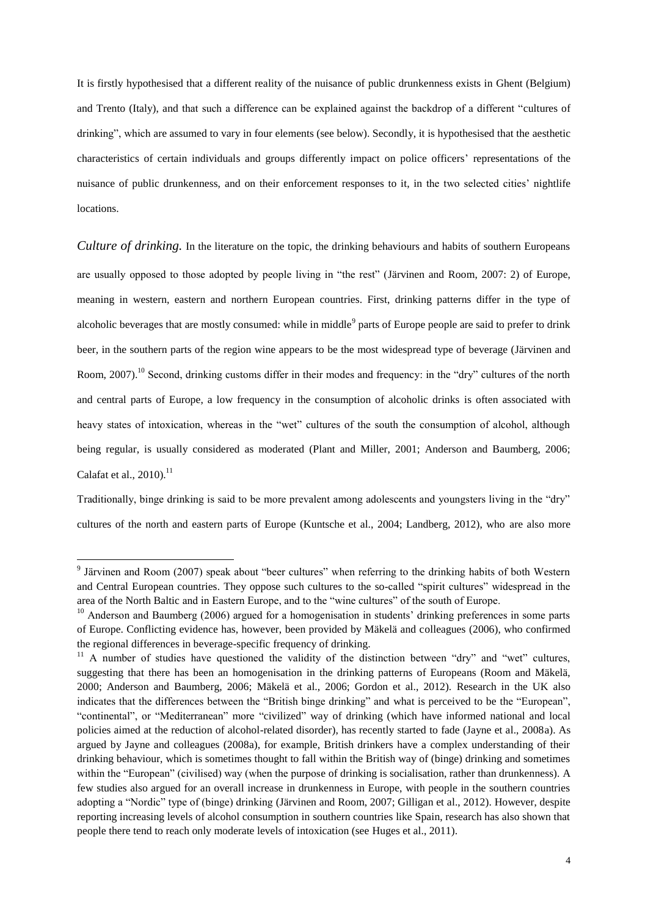It is firstly hypothesised that a different reality of the nuisance of public drunkenness exists in Ghent (Belgium) and Trento (Italy), and that such a difference can be explained against the backdrop of a different "cultures of drinking", which are assumed to vary in four elements (see below). Secondly, it is hypothesised that the aesthetic characteristics of certain individuals and groups differently impact on police officers' representations of the nuisance of public drunkenness, and on their enforcement responses to it, in the two selected cities' nightlife locations.

*Culture of drinking.* In the literature on the topic, the drinking behaviours and habits of southern Europeans are usually opposed to those adopted by people living in "the rest" (Järvinen and Room, 2007: 2) of Europe, meaning in western, eastern and northern European countries. First, drinking patterns differ in the type of alcoholic beverages that are mostly consumed: while in middle $9$  parts of Europe people are said to prefer to drink beer, in the southern parts of the region wine appears to be the most widespread type of beverage (Järvinen and Room. 2007).<sup>10</sup> Second, drinking customs differ in their modes and frequency: in the "dry" cultures of the north and central parts of Europe, a low frequency in the consumption of alcoholic drinks is often associated with heavy states of intoxication, whereas in the "wet" cultures of the south the consumption of alcohol, although being regular, is usually considered as moderated (Plant and Miller, 2001; Anderson and Baumberg, 2006; Calafat et al., 2010).<sup>11</sup>

Traditionally, binge drinking is said to be more prevalent among adolescents and youngsters living in the "dry" cultures of the north and eastern parts of Europe (Kuntsche et al., 2004; Landberg, 2012), who are also more

1

<sup>&</sup>lt;sup>9</sup> Järvinen and Room (2007) speak about "beer cultures" when referring to the drinking habits of both Western and Central European countries. They oppose such cultures to the so-called "spirit cultures" widespread in the area of the North Baltic and in Eastern Europe, and to the "wine cultures" of the south of Europe.

<sup>&</sup>lt;sup>10</sup> Anderson and Baumberg (2006) argued for a homogenisation in students' drinking preferences in some parts of Europe. Conflicting evidence has, however, been provided by Mäkelä and colleagues (2006), who confirmed the regional differences in beverage-specific frequency of drinking.

 $11$  A number of studies have questioned the validity of the distinction between "dry" and "wet" cultures, suggesting that there has been an homogenisation in the drinking patterns of Europeans (Room and Mäkelä, 2000; Anderson and Baumberg, 2006; Mäkelä et al., 2006; Gordon et al., 2012). Research in the UK also indicates that the differences between the "British binge drinking" and what is perceived to be the "European", "continental", or "Mediterranean" more "civilized" way of drinking (which have informed national and local policies aimed at the reduction of alcohol-related disorder), has recently started to fade (Jayne et al., 2008a). As argued by Jayne and colleagues (2008a), for example, British drinkers have a complex understanding of their drinking behaviour, which is sometimes thought to fall within the British way of (binge) drinking and sometimes within the "European" (civilised) way (when the purpose of drinking is socialisation, rather than drunkenness). A few studies also argued for an overall increase in drunkenness in Europe, with people in the southern countries adopting a "Nordic" type of (binge) drinking (Järvinen and Room, 2007; Gilligan et al., 2012). However, despite reporting increasing levels of alcohol consumption in southern countries like Spain, research has also shown that people there tend to reach only moderate levels of intoxication (see Huges et al., 2011).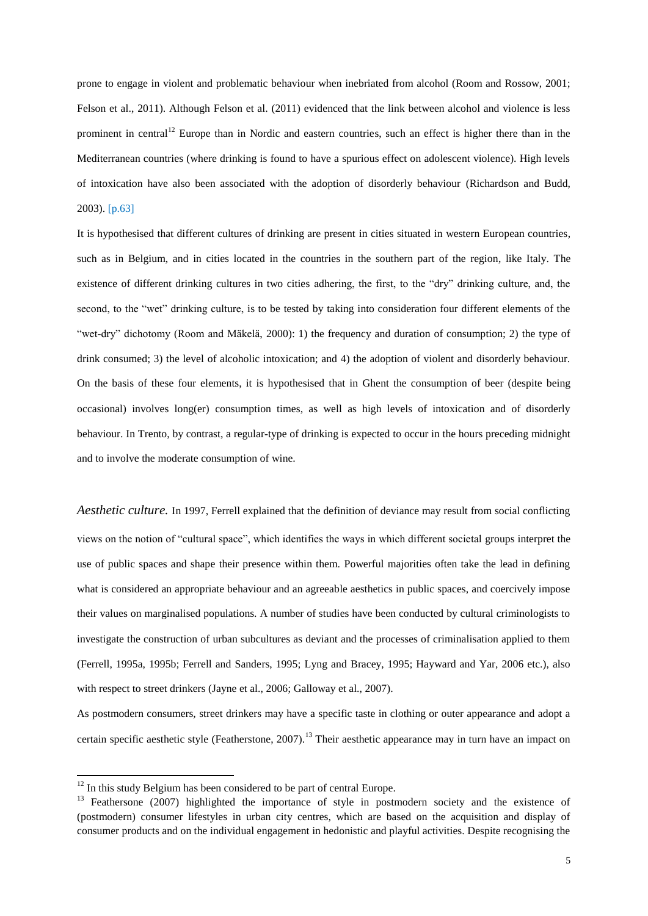prone to engage in violent and problematic behaviour when inebriated from alcohol (Room and Rossow, 2001; Felson et al., 2011). Although Felson et al. (2011) evidenced that the link between alcohol and violence is less prominent in central<sup>12</sup> Europe than in Nordic and eastern countries, such an effect is higher there than in the Mediterranean countries (where drinking is found to have a spurious effect on adolescent violence). High levels of intoxication have also been associated with the adoption of disorderly behaviour (Richardson and Budd, 2003). [p.63]

It is hypothesised that different cultures of drinking are present in cities situated in western European countries, such as in Belgium, and in cities located in the countries in the southern part of the region, like Italy. The existence of different drinking cultures in two cities adhering, the first, to the "dry" drinking culture, and, the second, to the "wet" drinking culture, is to be tested by taking into consideration four different elements of the "wet-dry" dichotomy (Room and Mäkelä, 2000): 1) the frequency and duration of consumption; 2) the type of drink consumed; 3) the level of alcoholic intoxication; and 4) the adoption of violent and disorderly behaviour. On the basis of these four elements, it is hypothesised that in Ghent the consumption of beer (despite being occasional) involves long(er) consumption times, as well as high levels of intoxication and of disorderly behaviour. In Trento, by contrast, a regular-type of drinking is expected to occur in the hours preceding midnight and to involve the moderate consumption of wine.

*Aesthetic culture.* In 1997, Ferrell explained that the definition of deviance may result from social conflicting views on the notion of "cultural space", which identifies the ways in which different societal groups interpret the use of public spaces and shape their presence within them. Powerful majorities often take the lead in defining what is considered an appropriate behaviour and an agreeable aesthetics in public spaces, and coercively impose their values on marginalised populations. A number of studies have been conducted by cultural criminologists to investigate the construction of urban subcultures as deviant and the processes of criminalisation applied to them (Ferrell, 1995a, 1995b; Ferrell and Sanders, 1995; Lyng and Bracey, 1995; Hayward and Yar, 2006 etc.), also with respect to street drinkers (Jayne et al., 2006; Galloway et al., 2007).

As postmodern consumers, street drinkers may have a specific taste in clothing or outer appearance and adopt a certain specific aesthetic style (Featherstone, 2007).<sup>13</sup> Their aesthetic appearance may in turn have an impact on

1

 $12$  In this study Belgium has been considered to be part of central Europe.

<sup>&</sup>lt;sup>13</sup> Feathersone (2007) highlighted the importance of style in postmodern society and the existence of (postmodern) consumer lifestyles in urban city centres, which are based on the acquisition and display of consumer products and on the individual engagement in hedonistic and playful activities. Despite recognising the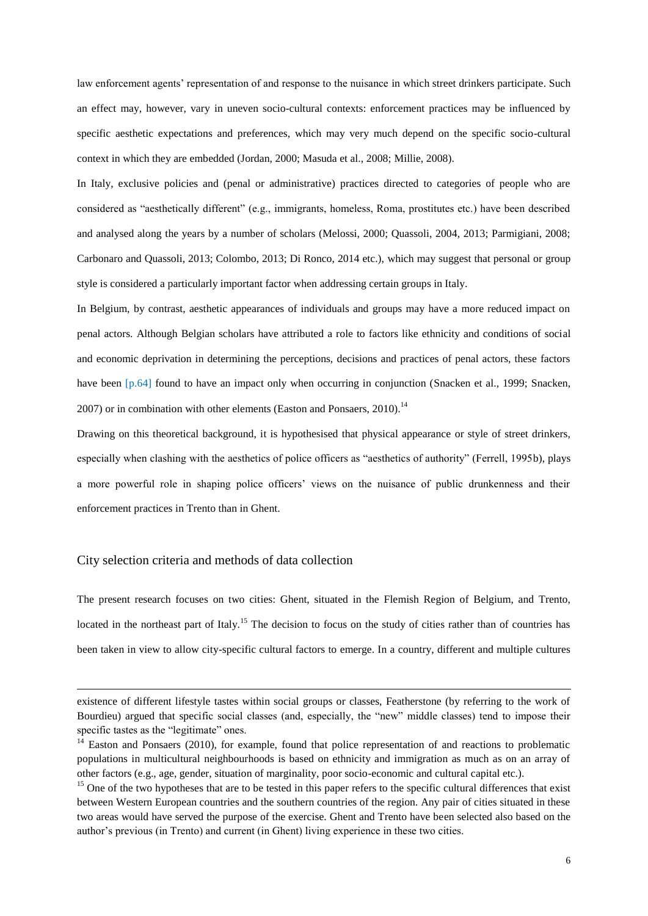law enforcement agents' representation of and response to the nuisance in which street drinkers participate. Such an effect may, however, vary in uneven socio-cultural contexts: enforcement practices may be influenced by specific aesthetic expectations and preferences, which may very much depend on the specific socio-cultural context in which they are embedded (Jordan, 2000; Masuda et al., 2008; Millie, 2008).

In Italy, exclusive policies and (penal or administrative) practices directed to categories of people who are considered as "aesthetically different" (e.g., immigrants, homeless, Roma, prostitutes etc.) have been described and analysed along the years by a number of scholars (Melossi, 2000; Quassoli, 2004, 2013; Parmigiani, 2008; Carbonaro and Quassoli, 2013; Colombo, 2013; Di Ronco, 2014 etc.), which may suggest that personal or group style is considered a particularly important factor when addressing certain groups in Italy.

In Belgium, by contrast, aesthetic appearances of individuals and groups may have a more reduced impact on penal actors. Although Belgian scholars have attributed a role to factors like ethnicity and conditions of social and economic deprivation in determining the perceptions, decisions and practices of penal actors, these factors have been [p.64] found to have an impact only when occurring in conjunction (Snacken et al., 1999; Snacken, 2007) or in combination with other elements (Easton and Ponsaers,  $2010$ ).<sup>14</sup>

Drawing on this theoretical background, it is hypothesised that physical appearance or style of street drinkers, especially when clashing with the aesthetics of police officers as "aesthetics of authority" (Ferrell, 1995b), plays a more powerful role in shaping police officers' views on the nuisance of public drunkenness and their enforcement practices in Trento than in Ghent.

# City selection criteria and methods of data collection

**.** 

The present research focuses on two cities: Ghent, situated in the Flemish Region of Belgium, and Trento, located in the northeast part of Italy.<sup>15</sup> The decision to focus on the study of cities rather than of countries has been taken in view to allow city-specific cultural factors to emerge. In a country, different and multiple cultures

existence of different lifestyle tastes within social groups or classes, Featherstone (by referring to the work of Bourdieu) argued that specific social classes (and, especially, the "new" middle classes) tend to impose their specific tastes as the "legitimate" ones.

<sup>&</sup>lt;sup>14</sup> Easton and Ponsaers (2010), for example, found that police representation of and reactions to problematic populations in multicultural neighbourhoods is based on ethnicity and immigration as much as on an array of other factors (e.g., age, gender, situation of marginality, poor socio-economic and cultural capital etc.).

 $15$  One of the two hypotheses that are to be tested in this paper refers to the specific cultural differences that exist between Western European countries and the southern countries of the region. Any pair of cities situated in these two areas would have served the purpose of the exercise. Ghent and Trento have been selected also based on the author's previous (in Trento) and current (in Ghent) living experience in these two cities.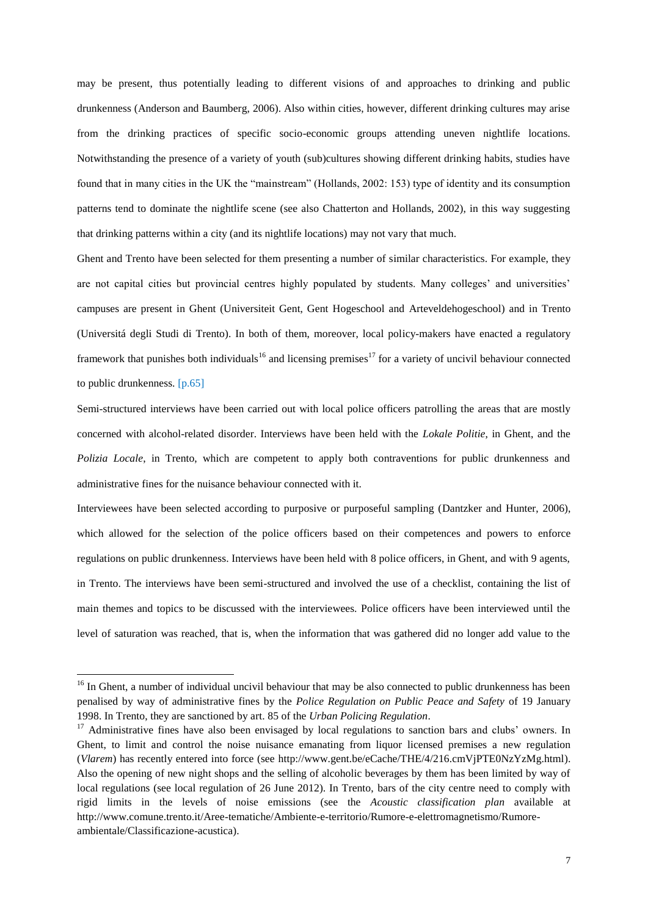may be present, thus potentially leading to different visions of and approaches to drinking and public drunkenness (Anderson and Baumberg, 2006). Also within cities, however, different drinking cultures may arise from the drinking practices of specific socio-economic groups attending uneven nightlife locations. Notwithstanding the presence of a variety of youth (sub)cultures showing different drinking habits, studies have found that in many cities in the UK the "mainstream" (Hollands, 2002: 153) type of identity and its consumption patterns tend to dominate the nightlife scene (see also Chatterton and Hollands, 2002), in this way suggesting that drinking patterns within a city (and its nightlife locations) may not vary that much.

Ghent and Trento have been selected for them presenting a number of similar characteristics. For example, they are not capital cities but provincial centres highly populated by students. Many colleges' and universities' campuses are present in Ghent (Universiteit Gent, Gent Hogeschool and [Arteveldehogeschool\)](http://en.wikipedia.org/w/index.php?title=Arteveldehogeschool&action=edit&redlink=1) and in Trento (Universitá degli Studi di Trento). In both of them, moreover, local policy-makers have enacted a regulatory framework that punishes both individuals<sup>16</sup> and licensing premises<sup>17</sup> for a variety of uncivil behaviour connected to public drunkenness. [p.65]

Semi-structured interviews have been carried out with local police officers patrolling the areas that are mostly concerned with alcohol-related disorder. Interviews have been held with the *Lokale Politie*, in Ghent, and the *Polizia Locale*, in Trento, which are competent to apply both contraventions for public drunkenness and administrative fines for the nuisance behaviour connected with it.

Interviewees have been selected according to purposive or purposeful sampling (Dantzker and Hunter, 2006), which allowed for the selection of the police officers based on their competences and powers to enforce regulations on public drunkenness. Interviews have been held with 8 police officers, in Ghent, and with 9 agents, in Trento. The interviews have been semi-structured and involved the use of a checklist, containing the list of main themes and topics to be discussed with the interviewees. Police officers have been interviewed until the level of saturation was reached, that is, when the information that was gathered did no longer add value to the

1

<sup>&</sup>lt;sup>16</sup> In Ghent, a number of individual uncivil behaviour that may be also connected to public drunkenness has been penalised by way of administrative fines by the *Police Regulation on Public Peace and Safety* of 19 January 1998. In Trento, they are sanctioned by art. 85 of the *Urban Policing Regulation*.

 $17$  Administrative fines have also been envisaged by local regulations to sanction bars and clubs' owners. In Ghent, to limit and control the noise nuisance emanating from liquor licensed premises a new regulation (*Vlarem*) has recently entered into force (see http://www.gent.be/eCache/THE/4/216.cmVjPTE0NzYzMg.html). Also the opening of new night shops and the selling of alcoholic beverages by them has been limited by way of local regulations (see local regulation of 26 June 2012). In Trento, bars of the city centre need to comply with rigid limits in the levels of noise emissions (see the *Acoustic classification plan* available at http://www.comune.trento.it/Aree-tematiche/Ambiente-e-territorio/Rumore-e-elettromagnetismo/Rumoreambientale/Classificazione-acustica).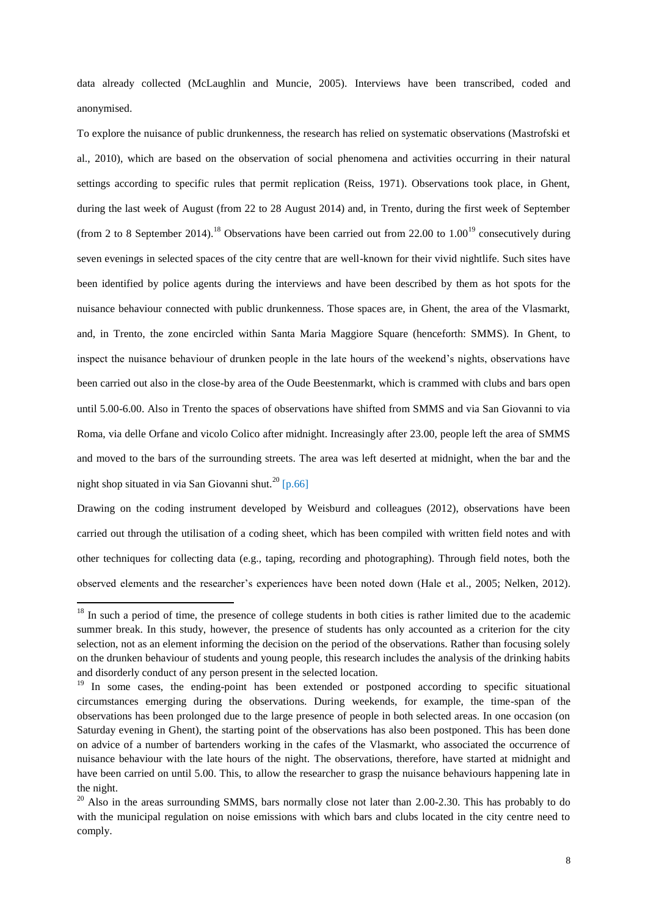data already collected (McLaughlin and Muncie, 2005). Interviews have been transcribed, coded and anonymised.

To explore the nuisance of public drunkenness, the research has relied on systematic observations (Mastrofski et al., 2010), which are based on the observation of social phenomena and activities occurring in their natural settings according to specific rules that permit replication (Reiss, 1971). Observations took place, in Ghent, during the last week of August (from 22 to 28 August 2014) and, in Trento, during the first week of September (from 2 to 8 September 2014).<sup>18</sup> Observations have been carried out from 22.00 to  $1.00^{19}$  consecutively during seven evenings in selected spaces of the city centre that are well-known for their vivid nightlife. Such sites have been identified by police agents during the interviews and have been described by them as hot spots for the nuisance behaviour connected with public drunkenness. Those spaces are, in Ghent, the area of the Vlasmarkt, and, in Trento, the zone encircled within Santa Maria Maggiore Square (henceforth: SMMS). In Ghent, to inspect the nuisance behaviour of drunken people in the late hours of the weekend's nights, observations have been carried out also in the close-by area of the Oude Beestenmarkt, which is crammed with clubs and bars open until 5.00-6.00. Also in Trento the spaces of observations have shifted from SMMS and via San Giovanni to via Roma, via delle Orfane and vicolo Colico after midnight. Increasingly after 23.00, people left the area of SMMS and moved to the bars of the surrounding streets. The area was left deserted at midnight, when the bar and the night shop situated in via San Giovanni shut.<sup>20</sup> [p.66]

Drawing on the coding instrument developed by Weisburd and colleagues (2012), observations have been carried out through the utilisation of a coding sheet, which has been compiled with written field notes and with other techniques for collecting data (e.g., taping, recording and photographing). Through field notes, both the observed elements and the researcher's experiences have been noted down (Hale et al., 2005; Nelken, 2012).

 $18$  In such a period of time, the presence of college students in both cities is rather limited due to the academic summer break. In this study, however, the presence of students has only accounted as a criterion for the city selection, not as an element informing the decision on the period of the observations. Rather than focusing solely on the drunken behaviour of students and young people, this research includes the analysis of the drinking habits and disorderly conduct of any person present in the selected location.

<sup>&</sup>lt;sup>19</sup> In some cases, the ending-point has been extended or postponed according to specific situational circumstances emerging during the observations. During weekends, for example, the time-span of the observations has been prolonged due to the large presence of people in both selected areas. In one occasion (on Saturday evening in Ghent), the starting point of the observations has also been postponed. This has been done on advice of a number of bartenders working in the cafes of the Vlasmarkt, who associated the occurrence of nuisance behaviour with the late hours of the night. The observations, therefore, have started at midnight and have been carried on until 5.00. This, to allow the researcher to grasp the nuisance behaviours happening late in the night.

 $^{20}$  Also in the areas surrounding SMMS, bars normally close not later than 2.00-2.30. This has probably to do with the municipal regulation on noise emissions with which bars and clubs located in the city centre need to comply.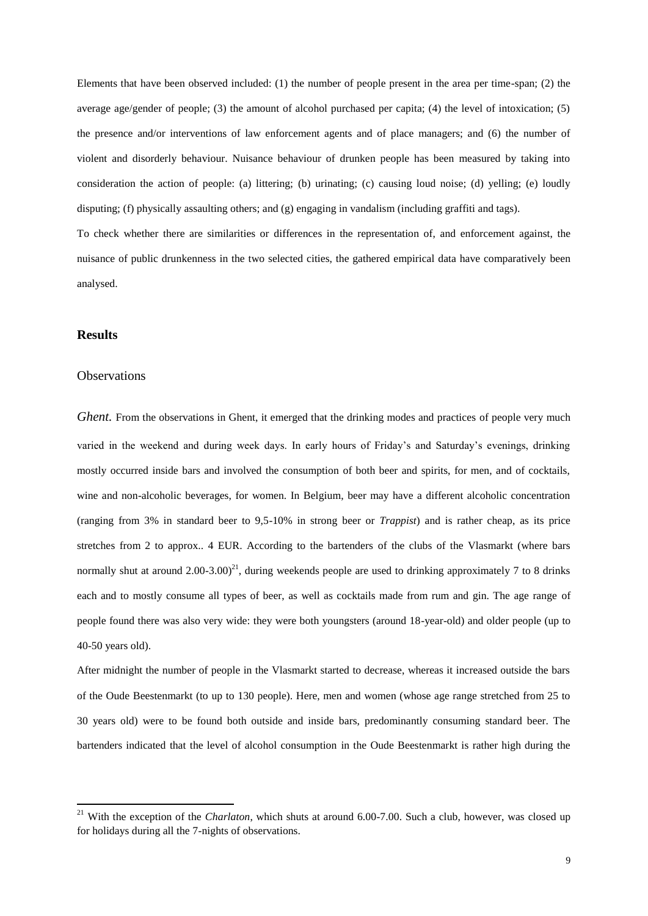Elements that have been observed included: (1) the number of people present in the area per time-span; (2) the average age/gender of people; (3) the amount of alcohol purchased per capita; (4) the level of intoxication; (5) the presence and/or interventions of law enforcement agents and of place managers; and (6) the number of violent and disorderly behaviour. Nuisance behaviour of drunken people has been measured by taking into consideration the action of people: (a) littering; (b) urinating; (c) causing loud noise; (d) yelling; (e) loudly disputing; (f) physically assaulting others; and (g) engaging in vandalism (including graffiti and tags).

To check whether there are similarities or differences in the representation of, and enforcement against, the nuisance of public drunkenness in the two selected cities, the gathered empirical data have comparatively been analysed.

#### **Results**

**.** 

#### **Observations**

*Ghent.* From the observations in Ghent, it emerged that the drinking modes and practices of people very much varied in the weekend and during week days. In early hours of Friday's and Saturday's evenings, drinking mostly occurred inside bars and involved the consumption of both beer and spirits, for men, and of cocktails, wine and non-alcoholic beverages, for women. In Belgium, beer may have a different alcoholic concentration (ranging from 3% in standard beer to 9,5-10% in strong beer or *Trappist*) and is rather cheap, as its price stretches from 2 to approx.. 4 EUR. According to the bartenders of the clubs of the Vlasmarkt (where bars normally shut at around  $2.00-3.00$ <sup>21</sup>, during weekends people are used to drinking approximately 7 to 8 drinks each and to mostly consume all types of beer, as well as cocktails made from rum and gin. The age range of people found there was also very wide: they were both youngsters (around 18-year-old) and older people (up to 40-50 years old).

After midnight the number of people in the Vlasmarkt started to decrease, whereas it increased outside the bars of the Oude Beestenmarkt (to up to 130 people). Here, men and women (whose age range stretched from 25 to 30 years old) were to be found both outside and inside bars, predominantly consuming standard beer. The bartenders indicated that the level of alcohol consumption in the Oude Beestenmarkt is rather high during the

<sup>&</sup>lt;sup>21</sup> With the exception of the *Charlaton*, which shuts at around 6.00-7.00. Such a club, however, was closed up for holidays during all the 7-nights of observations.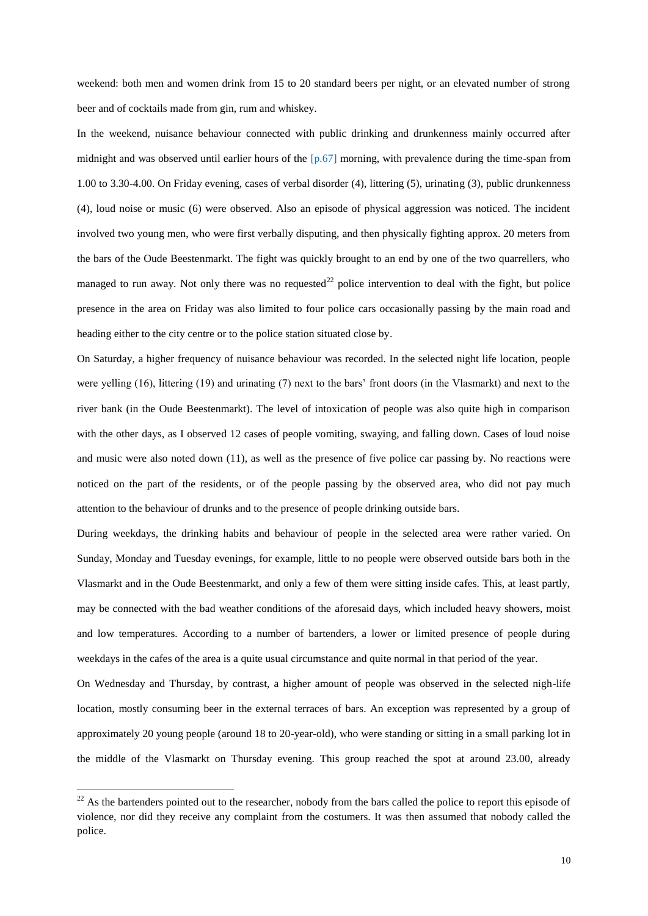weekend: both men and women drink from 15 to 20 standard beers per night, or an elevated number of strong beer and of cocktails made from gin, rum and whiskey.

In the weekend, nuisance behaviour connected with public drinking and drunkenness mainly occurred after midnight and was observed until earlier hours of the [p.67] morning, with prevalence during the time-span from 1.00 to 3.30-4.00. On Friday evening, cases of verbal disorder (4), littering (5), urinating (3), public drunkenness (4), loud noise or music (6) were observed. Also an episode of physical aggression was noticed. The incident involved two young men, who were first verbally disputing, and then physically fighting approx. 20 meters from the bars of the Oude Beestenmarkt. The fight was quickly brought to an end by one of the two quarrellers, who managed to run away. Not only there was no requested<sup>22</sup> police intervention to deal with the fight, but police presence in the area on Friday was also limited to four police cars occasionally passing by the main road and heading either to the city centre or to the police station situated close by.

On Saturday, a higher frequency of nuisance behaviour was recorded. In the selected night life location, people were yelling (16), littering (19) and urinating (7) next to the bars' front doors (in the Vlasmarkt) and next to the river bank (in the Oude Beestenmarkt). The level of intoxication of people was also quite high in comparison with the other days, as I observed 12 cases of people vomiting, swaying, and falling down. Cases of loud noise and music were also noted down (11), as well as the presence of five police car passing by. No reactions were noticed on the part of the residents, or of the people passing by the observed area, who did not pay much attention to the behaviour of drunks and to the presence of people drinking outside bars.

During weekdays, the drinking habits and behaviour of people in the selected area were rather varied. On Sunday, Monday and Tuesday evenings, for example, little to no people were observed outside bars both in the Vlasmarkt and in the Oude Beestenmarkt, and only a few of them were sitting inside cafes. This, at least partly, may be connected with the bad weather conditions of the aforesaid days, which included heavy showers, moist and low temperatures. According to a number of bartenders, a lower or limited presence of people during weekdays in the cafes of the area is a quite usual circumstance and quite normal in that period of the year.

On Wednesday and Thursday, by contrast, a higher amount of people was observed in the selected nigh-life location, mostly consuming beer in the external terraces of bars. An exception was represented by a group of approximately 20 young people (around 18 to 20-year-old), who were standing or sitting in a small parking lot in the middle of the Vlasmarkt on Thursday evening. This group reached the spot at around 23.00, already

<sup>&</sup>lt;sup>22</sup> As the bartenders pointed out to the researcher, nobody from the bars called the police to report this episode of violence, nor did they receive any complaint from the costumers. It was then assumed that nobody called the police.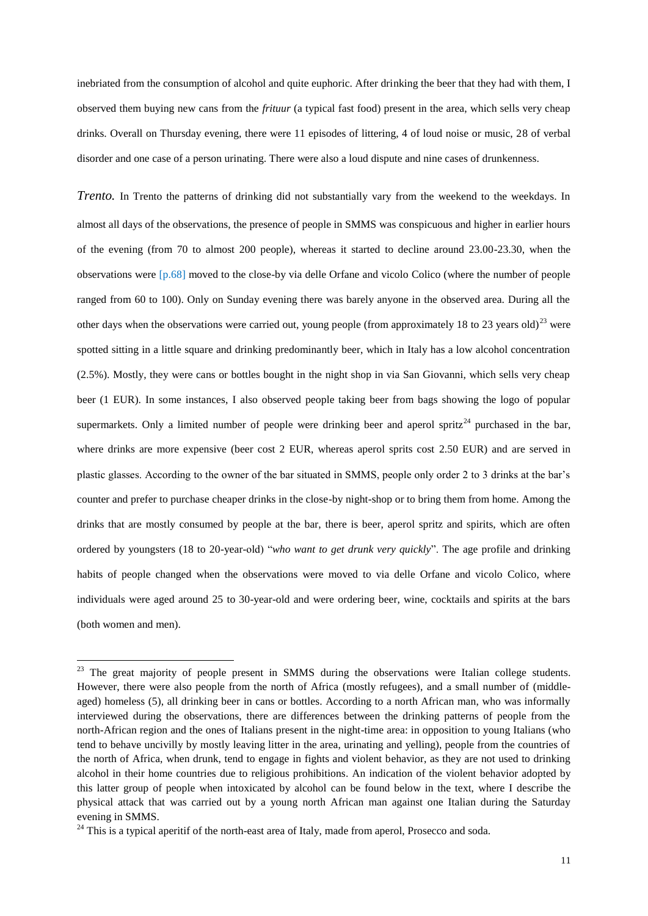inebriated from the consumption of alcohol and quite euphoric. After drinking the beer that they had with them, I observed them buying new cans from the *frituur* (a typical fast food) present in the area, which sells very cheap drinks. Overall on Thursday evening, there were 11 episodes of littering, 4 of loud noise or music, 28 of verbal disorder and one case of a person urinating. There were also a loud dispute and nine cases of drunkenness.

*Trento.* In Trento the patterns of drinking did not substantially vary from the weekend to the weekdays. In almost all days of the observations, the presence of people in SMMS was conspicuous and higher in earlier hours of the evening (from 70 to almost 200 people), whereas it started to decline around 23.00-23.30, when the observations were [p.68] moved to the close-by via delle Orfane and vicolo Colico (where the number of people ranged from 60 to 100). Only on Sunday evening there was barely anyone in the observed area. During all the other days when the observations were carried out, young people (from approximately 18 to 23 years old)<sup>23</sup> were spotted sitting in a little square and drinking predominantly beer, which in Italy has a low alcohol concentration (2.5%). Mostly, they were cans or bottles bought in the night shop in via San Giovanni, which sells very cheap beer (1 EUR). In some instances, I also observed people taking beer from bags showing the logo of popular supermarkets. Only a limited number of people were drinking beer and aperol spritz<sup>24</sup> purchased in the bar. where drinks are more expensive (beer cost 2 EUR, whereas aperol sprits cost 2.50 EUR) and are served in plastic glasses. According to the owner of the bar situated in SMMS, people only order 2 to 3 drinks at the bar's counter and prefer to purchase cheaper drinks in the close-by night-shop or to bring them from home. Among the drinks that are mostly consumed by people at the bar, there is beer, aperol spritz and spirits, which are often ordered by youngsters (18 to 20-year-old) "*who want to get drunk very quickly*". The age profile and drinking habits of people changed when the observations were moved to via delle Orfane and vicolo Colico, where individuals were aged around 25 to 30-year-old and were ordering beer, wine, cocktails and spirits at the bars (both women and men).

 $23$  The great majority of people present in SMMS during the observations were Italian college students. However, there were also people from the north of Africa (mostly refugees), and a small number of (middleaged) homeless (5), all drinking beer in cans or bottles. According to a north African man, who was informally interviewed during the observations, there are differences between the drinking patterns of people from the north-African region and the ones of Italians present in the night-time area: in opposition to young Italians (who tend to behave uncivilly by mostly leaving litter in the area, urinating and yelling), people from the countries of the north of Africa, when drunk, tend to engage in fights and violent behavior, as they are not used to drinking alcohol in their home countries due to religious prohibitions. An indication of the violent behavior adopted by this latter group of people when intoxicated by alcohol can be found below in the text, where I describe the physical attack that was carried out by a young north African man against one Italian during the Saturday evening in SMMS.

<sup>&</sup>lt;sup>24</sup> This is a typical aperitif of the north-east area of Italy, made from aperol, Prosecco and soda.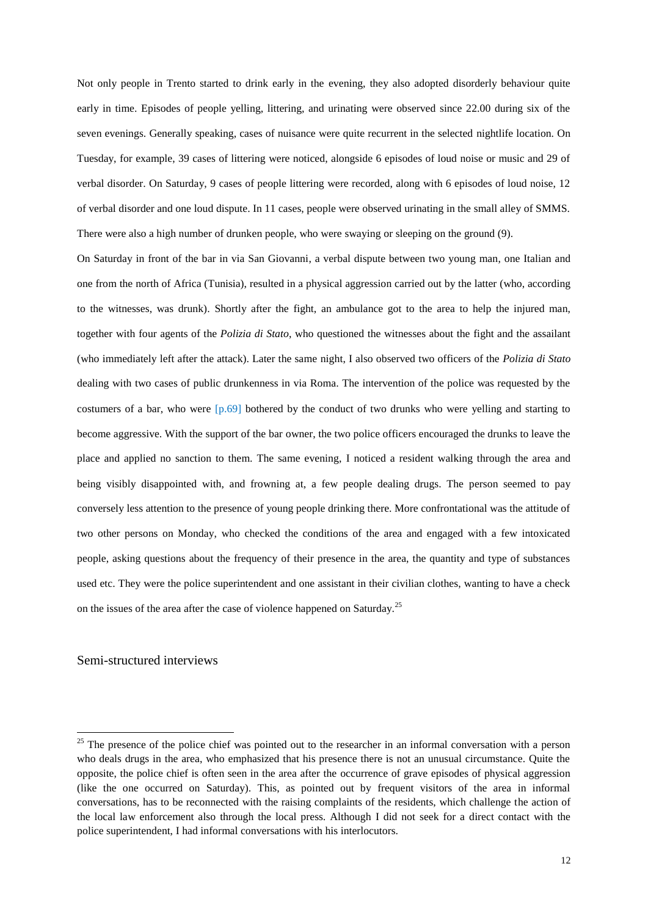Not only people in Trento started to drink early in the evening, they also adopted disorderly behaviour quite early in time. Episodes of people yelling, littering, and urinating were observed since 22.00 during six of the seven evenings. Generally speaking, cases of nuisance were quite recurrent in the selected nightlife location. On Tuesday, for example, 39 cases of littering were noticed, alongside 6 episodes of loud noise or music and 29 of verbal disorder. On Saturday, 9 cases of people littering were recorded, along with 6 episodes of loud noise, 12 of verbal disorder and one loud dispute. In 11 cases, people were observed urinating in the small alley of SMMS. There were also a high number of drunken people, who were swaying or sleeping on the ground (9).

On Saturday in front of the bar in via San Giovanni, a verbal dispute between two young man, one Italian and one from the north of Africa (Tunisia), resulted in a physical aggression carried out by the latter (who, according to the witnesses, was drunk). Shortly after the fight, an ambulance got to the area to help the injured man, together with four agents of the *Polizia di Stato*, who questioned the witnesses about the fight and the assailant (who immediately left after the attack). Later the same night, I also observed two officers of the *Polizia di Stato* dealing with two cases of public drunkenness in via Roma. The intervention of the police was requested by the costumers of a bar, who were  $[p.69]$  bothered by the conduct of two drunks who were yelling and starting to become aggressive. With the support of the bar owner, the two police officers encouraged the drunks to leave the place and applied no sanction to them. The same evening, I noticed a resident walking through the area and being visibly disappointed with, and frowning at, a few people dealing drugs. The person seemed to pay conversely less attention to the presence of young people drinking there. More confrontational was the attitude of two other persons on Monday, who checked the conditions of the area and engaged with a few intoxicated people, asking questions about the frequency of their presence in the area, the quantity and type of substances used etc. They were the police superintendent and one assistant in their civilian clothes, wanting to have a check on the issues of the area after the case of violence happened on Saturday.<sup>25</sup>

### Semi-structured interviews

 $\overline{\phantom{a}}$ 

 $25$  The presence of the police chief was pointed out to the researcher in an informal conversation with a person who deals drugs in the area, who emphasized that his presence there is not an unusual circumstance. Quite the opposite, the police chief is often seen in the area after the occurrence of grave episodes of physical aggression (like the one occurred on Saturday). This, as pointed out by frequent visitors of the area in informal conversations, has to be reconnected with the raising complaints of the residents, which challenge the action of the local law enforcement also through the local press. Although I did not seek for a direct contact with the police superintendent, I had informal conversations with his interlocutors.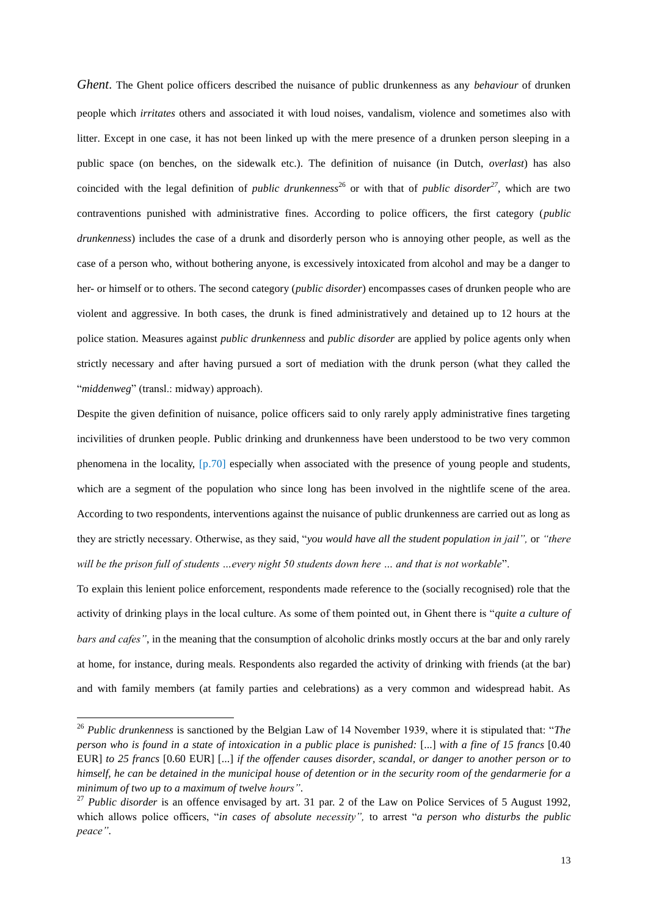*Ghent*. The Ghent police officers described the nuisance of public drunkenness as any *behaviour* of drunken people which *irritates* others and associated it with loud noises, vandalism, violence and sometimes also with litter. Except in one case, it has not been linked up with the mere presence of a drunken person sleeping in a public space (on benches, on the sidewalk etc.). The definition of nuisance (in Dutch, *overlast*) has also coincided with the legal definition of *public drunkenness*<sup>26</sup> or with that of *public disorder*<sup>27</sup>, which are two contraventions punished with administrative fines. According to police officers, the first category (*public drunkenness*) includes the case of a drunk and disorderly person who is annoying other people, as well as the case of a person who, without bothering anyone, is excessively intoxicated from alcohol and may be a danger to her- or himself or to others. The second category (*public disorder*) encompasses cases of drunken people who are violent and aggressive. In both cases, the drunk is fined administratively and detained up to 12 hours at the police station. Measures against *public drunkenness* and *public disorder* are applied by police agents only when strictly necessary and after having pursued a sort of mediation with the drunk person (what they called the "*middenweg*" (transl.: midway) approach).

Despite the given definition of nuisance, police officers said to only rarely apply administrative fines targeting incivilities of drunken people. Public drinking and drunkenness have been understood to be two very common phenomena in the locality,  $[p.70]$  especially when associated with the presence of young people and students, which are a segment of the population who since long has been involved in the nightlife scene of the area. According to two respondents, interventions against the nuisance of public drunkenness are carried out as long as they are strictly necessary. Otherwise, as they said, "*you would have all the student population in jail",* or *"there will be the prison full of students …every night 50 students down here … and that is not workable*".

To explain this lenient police enforcement, respondents made reference to the (socially recognised) role that the activity of drinking plays in the local culture. As some of them pointed out, in Ghent there is "*quite a culture of bars and cafes"*, in the meaning that the consumption of alcoholic drinks mostly occurs at the bar and only rarely at home, for instance, during meals. Respondents also regarded the activity of drinking with friends (at the bar) and with family members (at family parties and celebrations) as a very common and widespread habit. As

1

<sup>26</sup> *Public drunkenness* is sanctioned by the Belgian Law of 14 November 1939, where it is stipulated that: "*The person who is found in a state of intoxication in a public place is punished:* [...] *with a fine of 15 francs* [0.40 EUR] *to 25 francs* [0.60 EUR] [...] *if the offender causes disorder, scandal, or danger to another person or to himself, he can be detained in the municipal house of detention or in the security room of the gendarmerie for a minimum of two up to a maximum of twelve hours"*.

<sup>&</sup>lt;sup>27</sup> *Public disorder* is an offence envisaged by art. 31 par. 2 of the Law on Police Services of 5 August 1992, which allows police officers, "*in cases of absolute necessity",* to arrest "*a person who disturbs the public peace"*.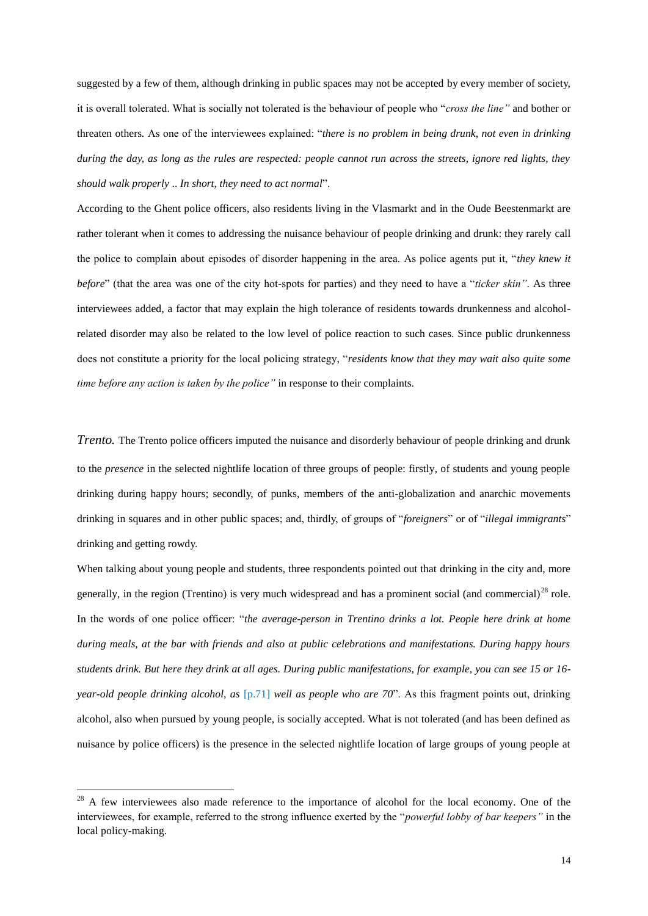suggested by a few of them, although drinking in public spaces may not be accepted by every member of society, it is overall tolerated. What is socially not tolerated is the behaviour of people who "*cross the line"* and bother or threaten others*.* As one of the interviewees explained: "*there is no problem in being drunk, not even in drinking during the day, as long as the rules are respected: people cannot run across the streets, ignore red lights, they should walk properly* .. *In short, they need to act normal*".

According to the Ghent police officers, also residents living in the Vlasmarkt and in the Oude Beestenmarkt are rather tolerant when it comes to addressing the nuisance behaviour of people drinking and drunk: they rarely call the police to complain about episodes of disorder happening in the area. As police agents put it, "*they knew it before*" (that the area was one of the city hot-spots for parties) and they need to have a "*ticker skin"*. As three interviewees added, a factor that may explain the high tolerance of residents towards drunkenness and alcoholrelated disorder may also be related to the low level of police reaction to such cases. Since public drunkenness does not constitute a priority for the local policing strategy, "*residents know that they may wait also quite some time before any action is taken by the police"* in response to their complaints.

*Trento.* The Trento police officers imputed the nuisance and disorderly behaviour of people drinking and drunk to the *presence* in the selected nightlife location of three groups of people: firstly, of students and young people drinking during happy hours; secondly, of punks, members of the anti-globalization and anarchic movements drinking in squares and in other public spaces; and, thirdly, of groups of "*foreigners*" or of "*illegal immigrants*" drinking and getting rowdy.

When talking about young people and students, three respondents pointed out that drinking in the city and, more generally, in the region (Trentino) is very much widespread and has a prominent social (and commercial)<sup>28</sup> role. In the words of one police officer: "*the average-person in Trentino drinks a lot. People here drink at home during meals, at the bar with friends and also at public celebrations and manifestations. During happy hours students drink. But here they drink at all ages. During public manifestations, for example, you can see 15 or 16 year-old people drinking alcohol, as* [p.71] *well as people who are 70*". As this fragment points out, drinking alcohol, also when pursued by young people, is socially accepted. What is not tolerated (and has been defined as nuisance by police officers) is the presence in the selected nightlife location of large groups of young people at

<sup>&</sup>lt;sup>28</sup> A few interviewees also made reference to the importance of alcohol for the local economy. One of the interviewees, for example, referred to the strong influence exerted by the "*powerful lobby of bar keepers"* in the local policy-making.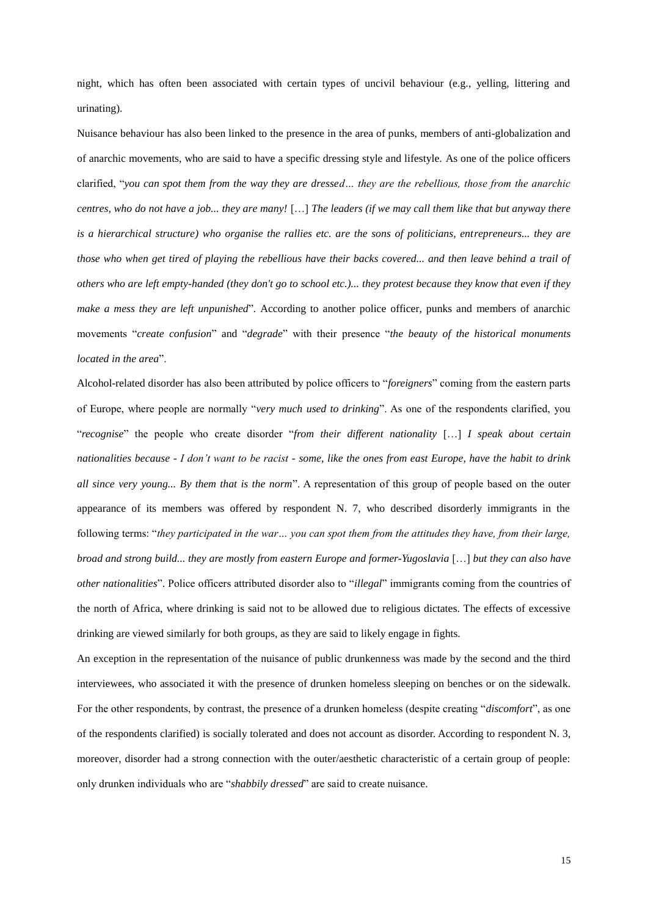night, which has often been associated with certain types of uncivil behaviour (e.g., yelling, littering and urinating).

Nuisance behaviour has also been linked to the presence in the area of punks, members of anti-globalization and of anarchic movements, who are said to have a specific dressing style and lifestyle. As one of the police officers clarified, "*you can spot them from the way they are dressed… they are the rebellious, those from the anarchic centres, who do not have a job... they are many!* […] *The leaders (if we may call them like that but anyway there is a hierarchical structure) who organise the rallies etc. are the sons of politicians, entrepreneurs... they are those who when get tired of playing the rebellious have their backs covered... and then leave behind a trail of others who are left empty-handed (they don't go to school etc.)... they protest because they know that even if they make a mess they are left unpunished*"*.* According to another police officer, punks and members of anarchic movements "*create confusion*" and "*degrade*" with their presence "*the beauty of the historical monuments located in the area*".

Alcohol-related disorder has also been attributed by police officers to "*foreigners*" coming from the eastern parts of Europe, where people are normally "*very much used to drinking*". As one of the respondents clarified, you "*recognise*" the people who create disorder "*from their different nationality* […] *I speak about certain nationalities because - I don't want to be racist - some, like the ones from east Europe, have the habit to drink all since very young... By them that is the norm*". A representation of this group of people based on the outer appearance of its members was offered by respondent N. 7, who described disorderly immigrants in the following terms: "*they participated in the war… you can spot them from the attitudes they have, from their large, broad and strong build... they are mostly from eastern Europe and former-Yugoslavia* […] *but they can also have other nationalities*". Police officers attributed disorder also to "*illegal*" immigrants coming from the countries of the north of Africa, where drinking is said not to be allowed due to religious dictates. The effects of excessive drinking are viewed similarly for both groups, as they are said to likely engage in fights.

An exception in the representation of the nuisance of public drunkenness was made by the second and the third interviewees, who associated it with the presence of drunken homeless sleeping on benches or on the sidewalk. For the other respondents, by contrast, the presence of a drunken homeless (despite creating "*discomfort*", as one of the respondents clarified) is socially tolerated and does not account as disorder. According to respondent N. 3, moreover, disorder had a strong connection with the outer/aesthetic characteristic of a certain group of people: only drunken individuals who are "*shabbily dressed*" are said to create nuisance.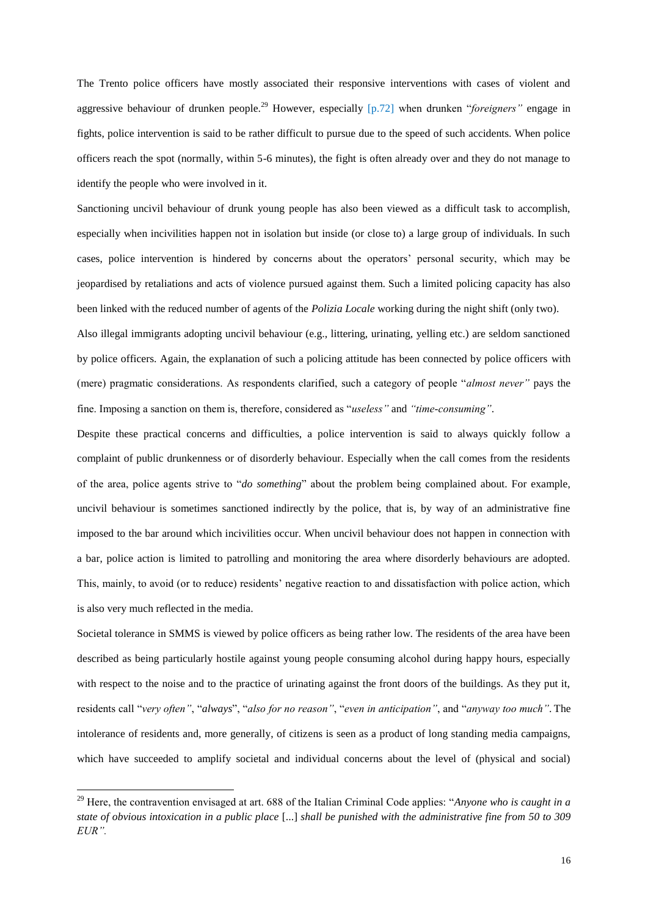The Trento police officers have mostly associated their responsive interventions with cases of violent and aggressive behaviour of drunken people.<sup>29</sup> However, especially [p.72] when drunken "*foreigners*" engage in fights, police intervention is said to be rather difficult to pursue due to the speed of such accidents. When police officers reach the spot (normally, within 5-6 minutes), the fight is often already over and they do not manage to identify the people who were involved in it.

Sanctioning uncivil behaviour of drunk young people has also been viewed as a difficult task to accomplish, especially when incivilities happen not in isolation but inside (or close to) a large group of individuals. In such cases, police intervention is hindered by concerns about the operators' personal security, which may be jeopardised by retaliations and acts of violence pursued against them. Such a limited policing capacity has also been linked with the reduced number of agents of the *Polizia Locale* working during the night shift (only two).

Also illegal immigrants adopting uncivil behaviour (e.g., littering, urinating, yelling etc.) are seldom sanctioned by police officers. Again, the explanation of such a policing attitude has been connected by police officers with (mere) pragmatic considerations. As respondents clarified, such a category of people "*almost never"* pays the fine. Imposing a sanction on them is, therefore, considered as "*useless"* and *"time-consuming"*.

Despite these practical concerns and difficulties, a police intervention is said to always quickly follow a complaint of public drunkenness or of disorderly behaviour. Especially when the call comes from the residents of the area, police agents strive to "*do something*" about the problem being complained about. For example, uncivil behaviour is sometimes sanctioned indirectly by the police, that is, by way of an administrative fine imposed to the bar around which incivilities occur. When uncivil behaviour does not happen in connection with a bar, police action is limited to patrolling and monitoring the area where disorderly behaviours are adopted. This, mainly, to avoid (or to reduce) residents' negative reaction to and dissatisfaction with police action, which is also very much reflected in the media.

Societal tolerance in SMMS is viewed by police officers as being rather low. The residents of the area have been described as being particularly hostile against young people consuming alcohol during happy hours, especially with respect to the noise and to the practice of urinating against the front doors of the buildings. As they put it, residents call "*very often"*, "*always*", "*also for no reason"*, "*even in anticipation"*, and "*anyway too much"*. The intolerance of residents and, more generally, of citizens is seen as a product of long standing media campaigns, which have succeeded to amplify societal and individual concerns about the level of (physical and social)

<sup>29</sup> Here, the contravention envisaged at art. 688 of the Italian Criminal Code applies: "*Anyone who is caught in a state of obvious intoxication in a public place* [...] *shall be punished with the administrative fine from 50 to 309 EUR".*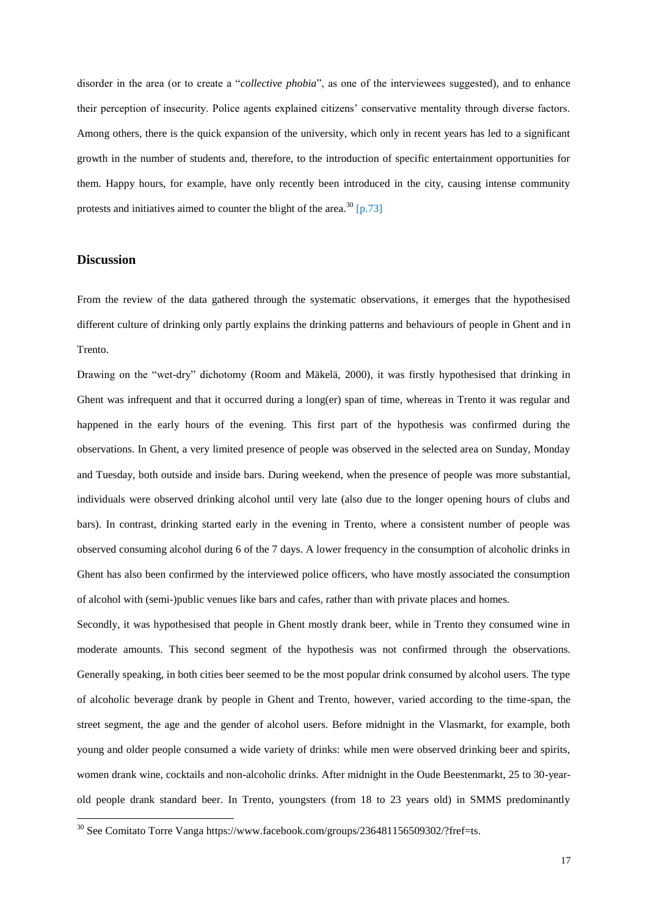disorder in the area (or to create a "*collective phobia*", as one of the interviewees suggested), and to enhance their perception of insecurity. Police agents explained citizens' conservative mentality through diverse factors. Among others, there is the quick expansion of the university, which only in recent years has led to a significant growth in the number of students and, therefore, to the introduction of specific entertainment opportunities for them. Happy hours, for example, have only recently been introduced in the city, causing intense community protests and initiatives aimed to counter the blight of the area.<sup>30</sup> [p.73]

### **Discussion**

**.** 

From the review of the data gathered through the systematic observations, it emerges that the hypothesised different culture of drinking only partly explains the drinking patterns and behaviours of people in Ghent and in Trento.

Drawing on the "wet-dry" dichotomy (Room and Mäkelä, 2000), it was firstly hypothesised that drinking in Ghent was infrequent and that it occurred during a long(er) span of time, whereas in Trento it was regular and happened in the early hours of the evening. This first part of the hypothesis was confirmed during the observations. In Ghent, a very limited presence of people was observed in the selected area on Sunday, Monday and Tuesday, both outside and inside bars. During weekend, when the presence of people was more substantial, individuals were observed drinking alcohol until very late (also due to the longer opening hours of clubs and bars). In contrast, drinking started early in the evening in Trento, where a consistent number of people was observed consuming alcohol during 6 of the 7 days. A lower frequency in the consumption of alcoholic drinks in Ghent has also been confirmed by the interviewed police officers, who have mostly associated the consumption of alcohol with (semi-)public venues like bars and cafes, rather than with private places and homes.

Secondly, it was hypothesised that people in Ghent mostly drank beer, while in Trento they consumed wine in moderate amounts. This second segment of the hypothesis was not confirmed through the observations. Generally speaking, in both cities beer seemed to be the most popular drink consumed by alcohol users. The type of alcoholic beverage drank by people in Ghent and Trento, however, varied according to the time-span, the street segment, the age and the gender of alcohol users. Before midnight in the Vlasmarkt, for example, both young and older people consumed a wide variety of drinks: while men were observed drinking beer and spirits, women drank wine, cocktails and non-alcoholic drinks. After midnight in the Oude Beestenmarkt, 25 to 30-yearold people drank standard beer. In Trento, youngsters (from 18 to 23 years old) in SMMS predominantly

<sup>30</sup> See Comitato Torre Vanga https://www.facebook.com/groups/236481156509302/?fref=ts.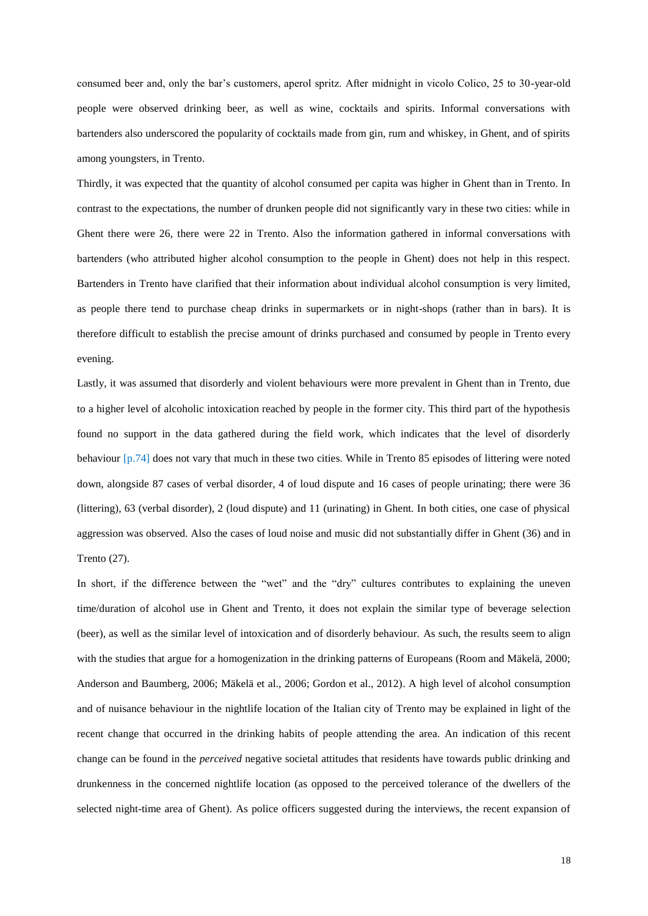consumed beer and, only the bar's customers, aperol spritz. After midnight in vicolo Colico, 25 to 30-year-old people were observed drinking beer, as well as wine, cocktails and spirits. Informal conversations with bartenders also underscored the popularity of cocktails made from gin, rum and whiskey, in Ghent, and of spirits among youngsters, in Trento.

Thirdly, it was expected that the quantity of alcohol consumed per capita was higher in Ghent than in Trento. In contrast to the expectations, the number of drunken people did not significantly vary in these two cities: while in Ghent there were 26, there were 22 in Trento. Also the information gathered in informal conversations with bartenders (who attributed higher alcohol consumption to the people in Ghent) does not help in this respect. Bartenders in Trento have clarified that their information about individual alcohol consumption is very limited, as people there tend to purchase cheap drinks in supermarkets or in night-shops (rather than in bars). It is therefore difficult to establish the precise amount of drinks purchased and consumed by people in Trento every evening.

Lastly, it was assumed that disorderly and violent behaviours were more prevalent in Ghent than in Trento, due to a higher level of alcoholic intoxication reached by people in the former city. This third part of the hypothesis found no support in the data gathered during the field work, which indicates that the level of disorderly behaviour [p.74] does not vary that much in these two cities. While in Trento 85 episodes of littering were noted down, alongside 87 cases of verbal disorder, 4 of loud dispute and 16 cases of people urinating; there were 36 (littering), 63 (verbal disorder), 2 (loud dispute) and 11 (urinating) in Ghent. In both cities, one case of physical aggression was observed. Also the cases of loud noise and music did not substantially differ in Ghent (36) and in Trento (27).

In short, if the difference between the "wet" and the "dry" cultures contributes to explaining the uneven time/duration of alcohol use in Ghent and Trento, it does not explain the similar type of beverage selection (beer), as well as the similar level of intoxication and of disorderly behaviour. As such, the results seem to align with the studies that argue for a homogenization in the drinking patterns of Europeans (Room and Mäkelä, 2000; Anderson and Baumberg, 2006; Mäkelä et al., 2006; Gordon et al., 2012). A high level of alcohol consumption and of nuisance behaviour in the nightlife location of the Italian city of Trento may be explained in light of the recent change that occurred in the drinking habits of people attending the area. An indication of this recent change can be found in the *perceived* negative societal attitudes that residents have towards public drinking and drunkenness in the concerned nightlife location (as opposed to the perceived tolerance of the dwellers of the selected night-time area of Ghent). As police officers suggested during the interviews, the recent expansion of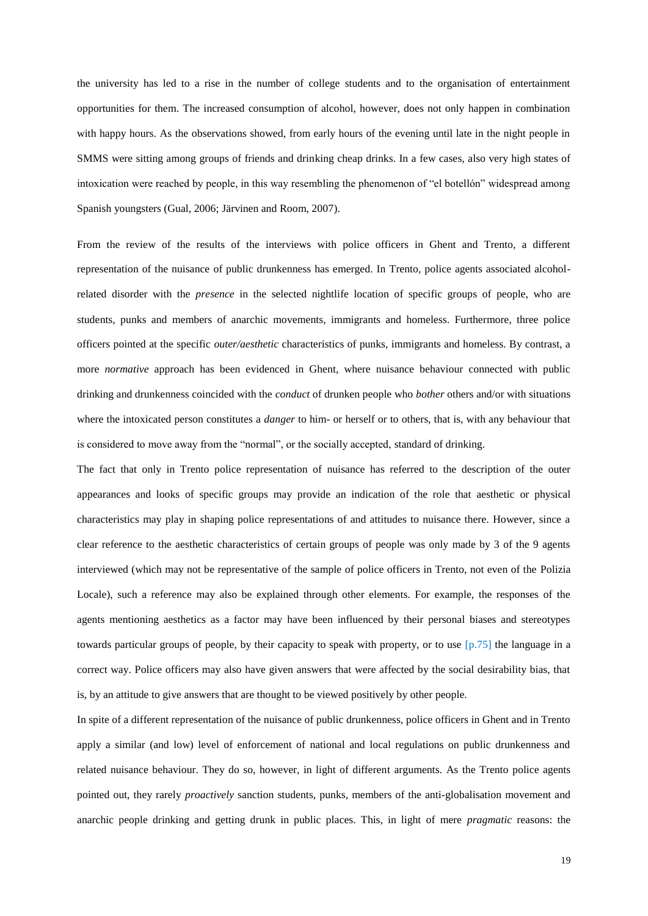the university has led to a rise in the number of college students and to the organisation of entertainment opportunities for them. The increased consumption of alcohol, however, does not only happen in combination with happy hours. As the observations showed, from early hours of the evening until late in the night people in SMMS were sitting among groups of friends and drinking cheap drinks. In a few cases, also very high states of intoxication were reached by people, in this way resembling the phenomenon of "el botellón" widespread among Spanish youngsters (Gual, 2006; Järvinen and Room, 2007).

From the review of the results of the interviews with police officers in Ghent and Trento, a different representation of the nuisance of public drunkenness has emerged. In Trento, police agents associated alcoholrelated disorder with the *presence* in the selected nightlife location of specific groups of people, who are students, punks and members of anarchic movements, immigrants and homeless. Furthermore, three police officers pointed at the specific *outer/aesthetic* characteristics of punks, immigrants and homeless. By contrast, a more *normative* approach has been evidenced in Ghent, where nuisance behaviour connected with public drinking and drunkenness coincided with the *conduct* of drunken people who *bother* others and/or with situations where the intoxicated person constitutes a *danger* to him- or herself or to others, that is, with any behaviour that is considered to move away from the "normal", or the socially accepted, standard of drinking.

The fact that only in Trento police representation of nuisance has referred to the description of the outer appearances and looks of specific groups may provide an indication of the role that aesthetic or physical characteristics may play in shaping police representations of and attitudes to nuisance there. However, since a clear reference to the aesthetic characteristics of certain groups of people was only made by 3 of the 9 agents interviewed (which may not be representative of the sample of police officers in Trento, not even of the Polizia Locale), such a reference may also be explained through other elements. For example, the responses of the agents mentioning aesthetics as a factor may have been influenced by their personal biases and stereotypes towards particular groups of people, by their capacity to speak with property, or to use [p.75] the language in a correct way. Police officers may also have given answers that were affected by the social desirability bias, that is, by an attitude to give answers that are thought to be viewed positively by other people.

In spite of a different representation of the nuisance of public drunkenness, police officers in Ghent and in Trento apply a similar (and low) level of enforcement of national and local regulations on public drunkenness and related nuisance behaviour. They do so, however, in light of different arguments. As the Trento police agents pointed out, they rarely *proactively* sanction students, punks, members of the anti-globalisation movement and anarchic people drinking and getting drunk in public places. This, in light of mere *pragmatic* reasons: the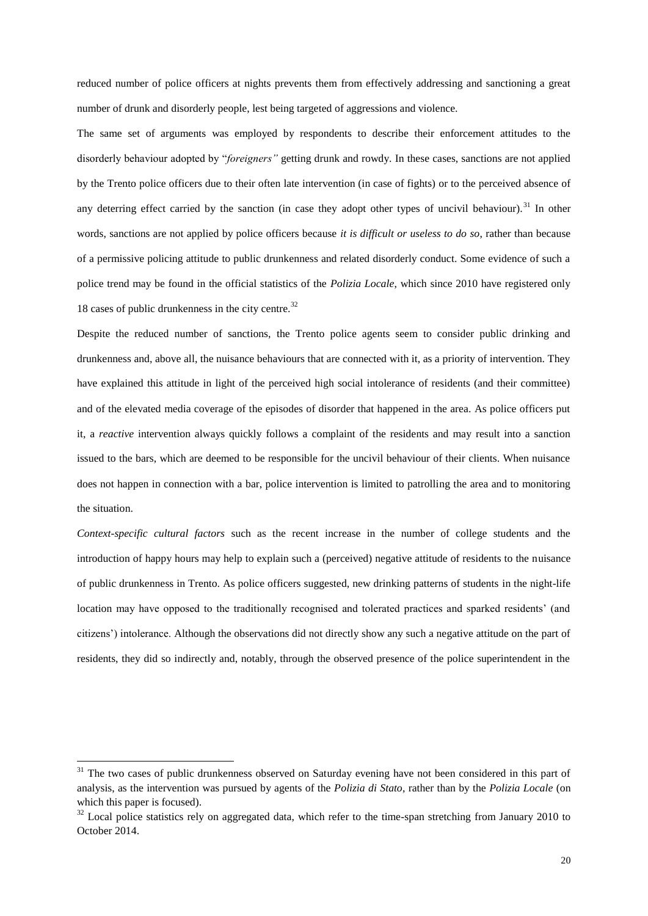reduced number of police officers at nights prevents them from effectively addressing and sanctioning a great number of drunk and disorderly people, lest being targeted of aggressions and violence.

The same set of arguments was employed by respondents to describe their enforcement attitudes to the disorderly behaviour adopted by "*foreigners"* getting drunk and rowdy. In these cases, sanctions are not applied by the Trento police officers due to their often late intervention (in case of fights) or to the perceived absence of any deterring effect carried by the sanction (in case they adopt other types of uncivil behaviour).<sup>31</sup> In other words, sanctions are not applied by police officers because *it is difficult or useless to do so*, rather than because of a permissive policing attitude to public drunkenness and related disorderly conduct. Some evidence of such a police trend may be found in the official statistics of the *Polizia Locale*, which since 2010 have registered only 18 cases of public drunkenness in the city centre. $32$ 

Despite the reduced number of sanctions, the Trento police agents seem to consider public drinking and drunkenness and, above all, the nuisance behaviours that are connected with it, as a priority of intervention. They have explained this attitude in light of the perceived high social intolerance of residents (and their committee) and of the elevated media coverage of the episodes of disorder that happened in the area. As police officers put it, a *reactive* intervention always quickly follows a complaint of the residents and may result into a sanction issued to the bars, which are deemed to be responsible for the uncivil behaviour of their clients. When nuisance does not happen in connection with a bar, police intervention is limited to patrolling the area and to monitoring the situation.

*Context-specific cultural factors* such as the recent increase in the number of college students and the introduction of happy hours may help to explain such a (perceived) negative attitude of residents to the nuisance of public drunkenness in Trento. As police officers suggested, new drinking patterns of students in the night-life location may have opposed to the traditionally recognised and tolerated practices and sparked residents' (and citizens') intolerance. Although the observations did not directly show any such a negative attitude on the part of residents, they did so indirectly and, notably, through the observed presence of the police superintendent in the

1

<sup>&</sup>lt;sup>31</sup> The two cases of public drunkenness observed on Saturday evening have not been considered in this part of analysis, as the intervention was pursued by agents of the *Polizia di Stato*, rather than by the *Polizia Locale* (on which this paper is focused).

 $32$  Local police statistics rely on aggregated data, which refer to the time-span stretching from January 2010 to October 2014.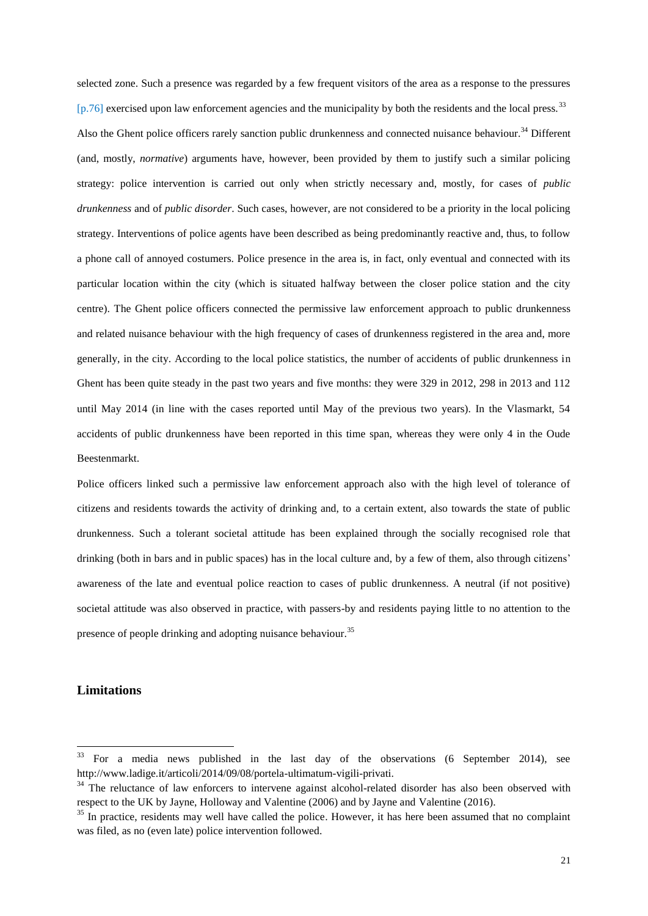selected zone. Such a presence was regarded by a few frequent visitors of the area as a response to the pressures [p.76] exercised upon law enforcement agencies and the municipality by both the residents and the local press.<sup>33</sup>

Also the Ghent police officers rarely sanction public drunkenness and connected nuisance behaviour.<sup>34</sup> Different (and, mostly, *normative*) arguments have, however, been provided by them to justify such a similar policing strategy: police intervention is carried out only when strictly necessary and, mostly, for cases of *public drunkenness* and of *public disorder*. Such cases, however, are not considered to be a priority in the local policing strategy. Interventions of police agents have been described as being predominantly reactive and, thus, to follow a phone call of annoyed costumers. Police presence in the area is, in fact, only eventual and connected with its particular location within the city (which is situated halfway between the closer police station and the city centre). The Ghent police officers connected the permissive law enforcement approach to public drunkenness and related nuisance behaviour with the high frequency of cases of drunkenness registered in the area and, more generally, in the city. According to the local police statistics, the number of accidents of public drunkenness in Ghent has been quite steady in the past two years and five months: they were 329 in 2012, 298 in 2013 and 112 until May 2014 (in line with the cases reported until May of the previous two years). In the Vlasmarkt, 54 accidents of public drunkenness have been reported in this time span, whereas they were only 4 in the Oude Beestenmarkt.

Police officers linked such a permissive law enforcement approach also with the high level of tolerance of citizens and residents towards the activity of drinking and, to a certain extent, also towards the state of public drunkenness. Such a tolerant societal attitude has been explained through the socially recognised role that drinking (both in bars and in public spaces) has in the local culture and, by a few of them, also through citizens' awareness of the late and eventual police reaction to cases of public drunkenness. A neutral (if not positive) societal attitude was also observed in practice, with passers-by and residents paying little to no attention to the presence of people drinking and adopting nuisance behaviour.<sup>35</sup>

## **Limitations**

<sup>&</sup>lt;sup>33</sup> For a media news published in the last day of the observations (6 September 2014), see http://www.ladige.it/articoli/2014/09/08/portela-ultimatum-vigili-privati.

<sup>&</sup>lt;sup>34</sup> The reluctance of law enforcers to intervene against alcohol-related disorder has also been observed with respect to the UK by Jayne, Holloway and Valentine (2006) and by Jayne and Valentine (2016).

<sup>&</sup>lt;sup>35</sup> In practice, residents may well have called the police. However, it has here been assumed that no complaint was filed, as no (even late) police intervention followed.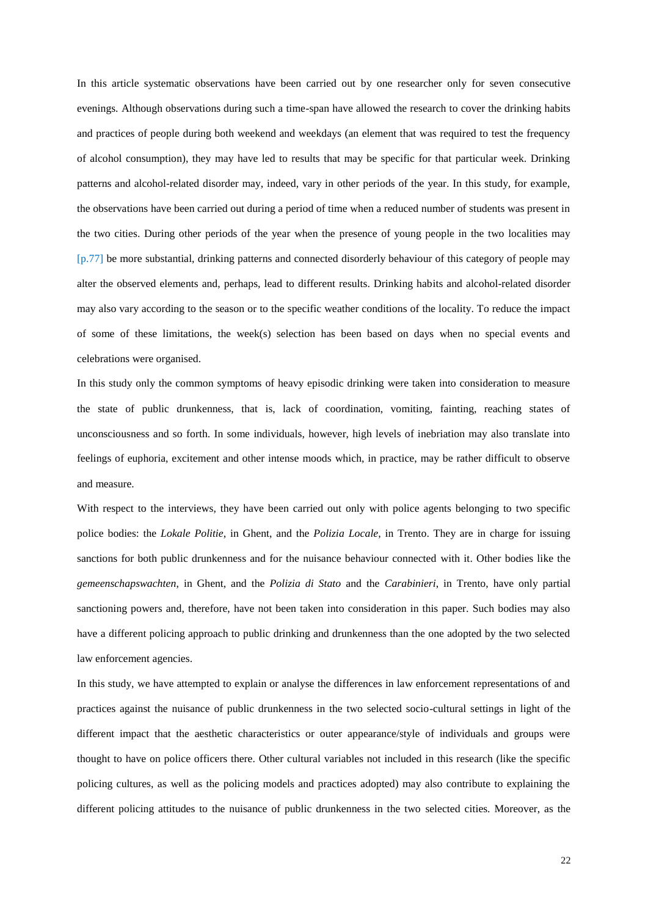In this article systematic observations have been carried out by one researcher only for seven consecutive evenings. Although observations during such a time-span have allowed the research to cover the drinking habits and practices of people during both weekend and weekdays (an element that was required to test the frequency of alcohol consumption), they may have led to results that may be specific for that particular week. Drinking patterns and alcohol-related disorder may, indeed, vary in other periods of the year. In this study, for example, the observations have been carried out during a period of time when a reduced number of students was present in the two cities. During other periods of the year when the presence of young people in the two localities may [p.77] be more substantial, drinking patterns and connected disorderly behaviour of this category of people may alter the observed elements and, perhaps, lead to different results. Drinking habits and alcohol-related disorder may also vary according to the season or to the specific weather conditions of the locality. To reduce the impact of some of these limitations, the week(s) selection has been based on days when no special events and celebrations were organised.

In this study only the common symptoms of heavy episodic drinking were taken into consideration to measure the state of public drunkenness, that is, lack of coordination, vomiting, fainting, reaching states of unconsciousness and so forth. In some individuals, however, high levels of inebriation may also translate into feelings of euphoria, excitement and other intense moods which, in practice, may be rather difficult to observe and measure.

With respect to the interviews, they have been carried out only with police agents belonging to two specific police bodies: the *Lokale Politie*, in Ghent, and the *Polizia Locale*, in Trento. They are in charge for issuing sanctions for both public drunkenness and for the nuisance behaviour connected with it. Other bodies like the *gemeenschapswachten*, in Ghent, and the *Polizia di Stato* and the *Carabinieri*, in Trento, have only partial sanctioning powers and, therefore, have not been taken into consideration in this paper. Such bodies may also have a different policing approach to public drinking and drunkenness than the one adopted by the two selected law enforcement agencies.

In this study, we have attempted to explain or analyse the differences in law enforcement representations of and practices against the nuisance of public drunkenness in the two selected socio-cultural settings in light of the different impact that the aesthetic characteristics or outer appearance/style of individuals and groups were thought to have on police officers there. Other cultural variables not included in this research (like the specific policing cultures, as well as the policing models and practices adopted) may also contribute to explaining the different policing attitudes to the nuisance of public drunkenness in the two selected cities. Moreover, as the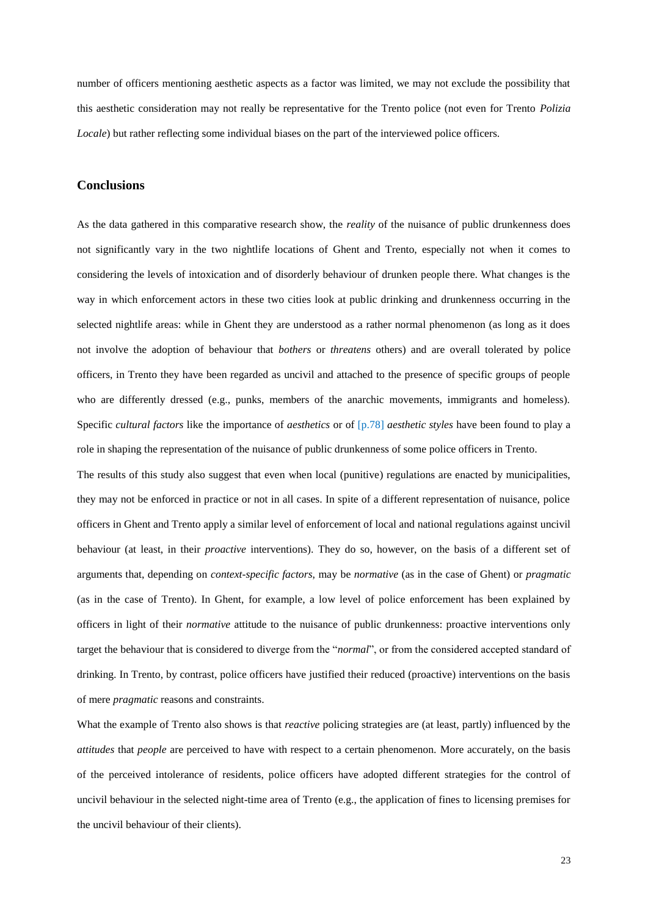number of officers mentioning aesthetic aspects as a factor was limited, we may not exclude the possibility that this aesthetic consideration may not really be representative for the Trento police (not even for Trento *Polizia Locale*) but rather reflecting some individual biases on the part of the interviewed police officers.

# **Conclusions**

As the data gathered in this comparative research show, the *reality* of the nuisance of public drunkenness does not significantly vary in the two nightlife locations of Ghent and Trento, especially not when it comes to considering the levels of intoxication and of disorderly behaviour of drunken people there. What changes is the way in which enforcement actors in these two cities look at public drinking and drunkenness occurring in the selected nightlife areas: while in Ghent they are understood as a rather normal phenomenon (as long as it does not involve the adoption of behaviour that *bothers* or *threatens* others) and are overall tolerated by police officers, in Trento they have been regarded as uncivil and attached to the presence of specific groups of people who are differently dressed (e.g., punks, members of the anarchic movements, immigrants and homeless). Specific *cultural factors* like the importance of *aesthetics* or of [p.78] *aesthetic styles* have been found to play a role in shaping the representation of the nuisance of public drunkenness of some police officers in Trento.

The results of this study also suggest that even when local (punitive) regulations are enacted by municipalities, they may not be enforced in practice or not in all cases. In spite of a different representation of nuisance, police officers in Ghent and Trento apply a similar level of enforcement of local and national regulations against uncivil behaviour (at least, in their *proactive* interventions). They do so, however, on the basis of a different set of arguments that, depending on *context-specific factors*, may be *normative* (as in the case of Ghent) or *pragmatic* (as in the case of Trento). In Ghent, for example, a low level of police enforcement has been explained by officers in light of their *normative* attitude to the nuisance of public drunkenness: proactive interventions only target the behaviour that is considered to diverge from the "*normal*", or from the considered accepted standard of drinking. In Trento, by contrast, police officers have justified their reduced (proactive) interventions on the basis of mere *pragmatic* reasons and constraints.

What the example of Trento also shows is that *reactive* policing strategies are (at least, partly) influenced by the *attitudes* that *people* are perceived to have with respect to a certain phenomenon. More accurately, on the basis of the perceived intolerance of residents, police officers have adopted different strategies for the control of uncivil behaviour in the selected night-time area of Trento (e.g., the application of fines to licensing premises for the uncivil behaviour of their clients).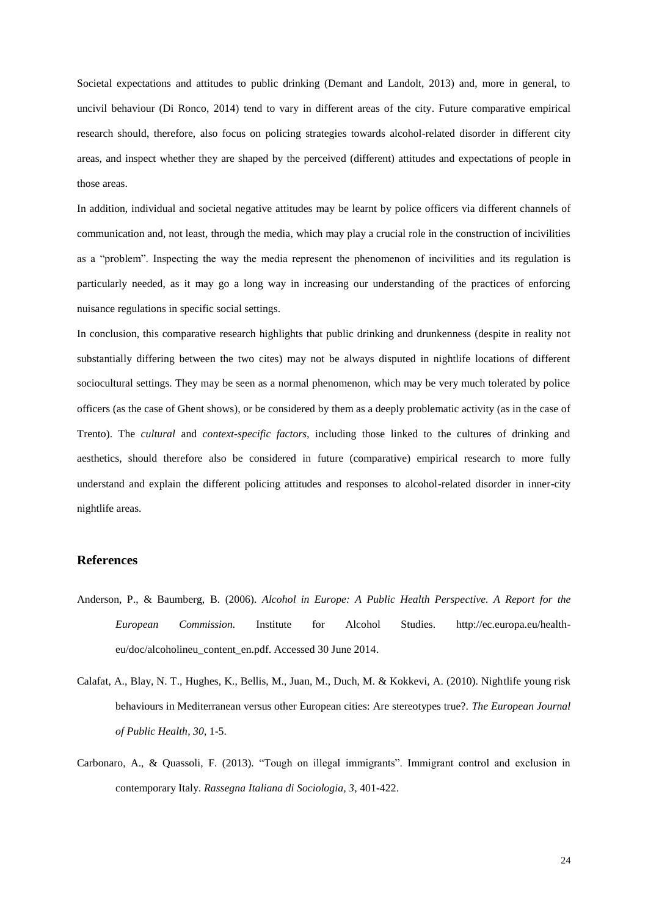Societal expectations and attitudes to public drinking (Demant and Landolt, 2013) and, more in general, to uncivil behaviour (Di Ronco, 2014) tend to vary in different areas of the city. Future comparative empirical research should, therefore, also focus on policing strategies towards alcohol-related disorder in different city areas, and inspect whether they are shaped by the perceived (different) attitudes and expectations of people in those areas.

In addition, individual and societal negative attitudes may be learnt by police officers via different channels of communication and, not least, through the media, which may play a crucial role in the construction of incivilities as a "problem". Inspecting the way the media represent the phenomenon of incivilities and its regulation is particularly needed, as it may go a long way in increasing our understanding of the practices of enforcing nuisance regulations in specific social settings.

In conclusion, this comparative research highlights that public drinking and drunkenness (despite in reality not substantially differing between the two cites) may not be always disputed in nightlife locations of different sociocultural settings. They may be seen as a normal phenomenon, which may be very much tolerated by police officers (as the case of Ghent shows), or be considered by them as a deeply problematic activity (as in the case of Trento). The *cultural* and *context-specific factors,* including those linked to the cultures of drinking and aesthetics, should therefore also be considered in future (comparative) empirical research to more fully understand and explain the different policing attitudes and responses to alcohol-related disorder in inner-city nightlife areas.

#### **References**

- Anderson, P., & Baumberg, B. (2006). *Alcohol in Europe: A Public Health Perspective. A Report for the European Commission.* Institute for Alcohol Studies. http://ec.europa.eu/healtheu/doc/alcoholineu\_content\_en.pdf. Accessed 30 June 2014.
- Calafat, A., Blay, N. T., Hughes, K., Bellis, M., Juan, M., Duch, M. & Kokkevi, A. (2010). Nightlife young risk behaviours in Mediterranean versus other European cities: Are stereotypes true?. *The European Journal of Public Health*, *30*, 1-5.
- Carbonaro, A., & Quassoli, F. (2013). "Tough on illegal immigrants". Immigrant control and exclusion in contemporary Italy. *Rassegna Italiana di Sociologia, 3*, 401-422.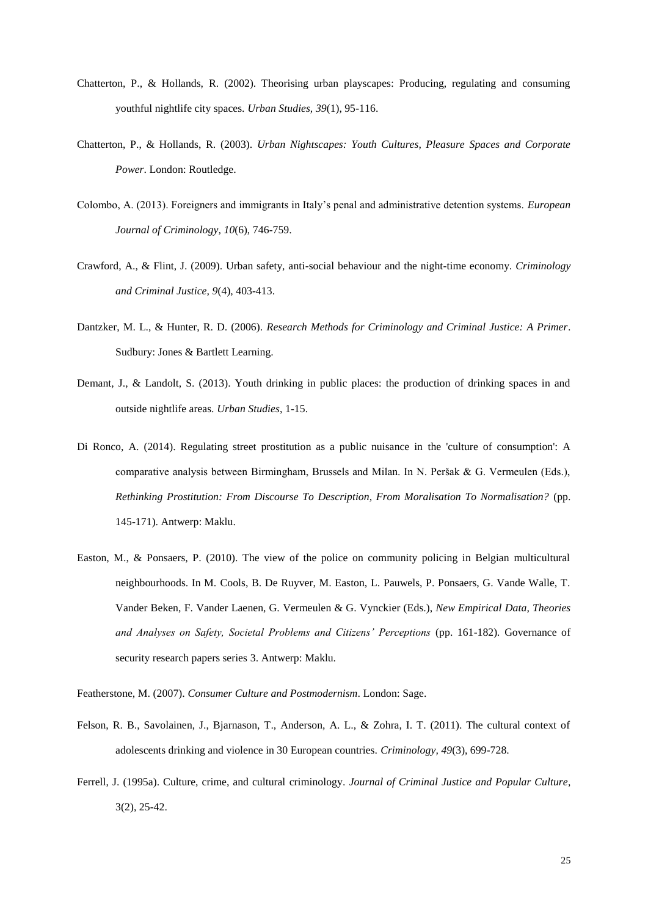- Chatterton, P., & Hollands, R. (2002). Theorising urban playscapes: Producing, regulating and consuming youthful nightlife city spaces. *Urban Studies, 39*(1), 95-116.
- Chatterton, P., & Hollands, R. (2003). *Urban Nightscapes: Youth Cultures, Pleasure Spaces and Corporate Power*. London: Routledge.
- Colombo, A. (2013). Foreigners and immigrants in Italy's penal and administrative detention systems. *European Journal of Criminology, 10*(6), 746-759.
- Crawford, A., & Flint, J. (2009). Urban safety, anti-social behaviour and the night-time economy. *Criminology and Criminal Justice, 9*(4), 403-413.
- Dantzker, M. L., & Hunter, R. D. (2006). *Research Methods for Criminology and Criminal Justice: A Primer*. Sudbury: Jones & Bartlett Learning.
- Demant, J., & Landolt, S. (2013). Youth drinking in public places: the production of drinking spaces in and outside nightlife areas. *Urban Studies*, 1-15.
- Di Ronco, A. (2014). Regulating street prostitution as a public nuisance in the 'culture of consumption': A comparative analysis between Birmingham, Brussels and Milan. In N. Peršak & G. Vermeulen (Eds.), *Rethinking Prostitution: From Discourse To Description, From Moralisation To Normalisation?* (pp. 145-171). Antwerp: Maklu.
- Easton, M., & Ponsaers, P. (2010). The view of the police on community policing in Belgian multicultural neighbourhoods. In M. Cools, B. De Ruyver, M. Easton, L. Pauwels, P. Ponsaers, G. Vande Walle, T. Vander Beken, F. Vander Laenen, G. Vermeulen & G. Vynckier (Eds.), *New Empirical Data, Theories and Analyses on Safety, Societal Problems and Citizens' Perceptions* (pp. 161-182)*.* Governance of security research papers series 3. Antwerp: Maklu.

Featherstone, M. (2007). *Consumer Culture and Postmodernism*. London: Sage.

- Felson, R. B., Savolainen, J., Bjarnason, T., Anderson, A. L., & Zohra, I. T. (2011). The cultural context of adolescents drinking and violence in 30 European countries. *Criminology, 49*(3), 699-728.
- Ferrell, J. (1995a). Culture, crime, and cultural criminology. *Journal of Criminal Justice and Popular Culture*, 3(2), 25-42.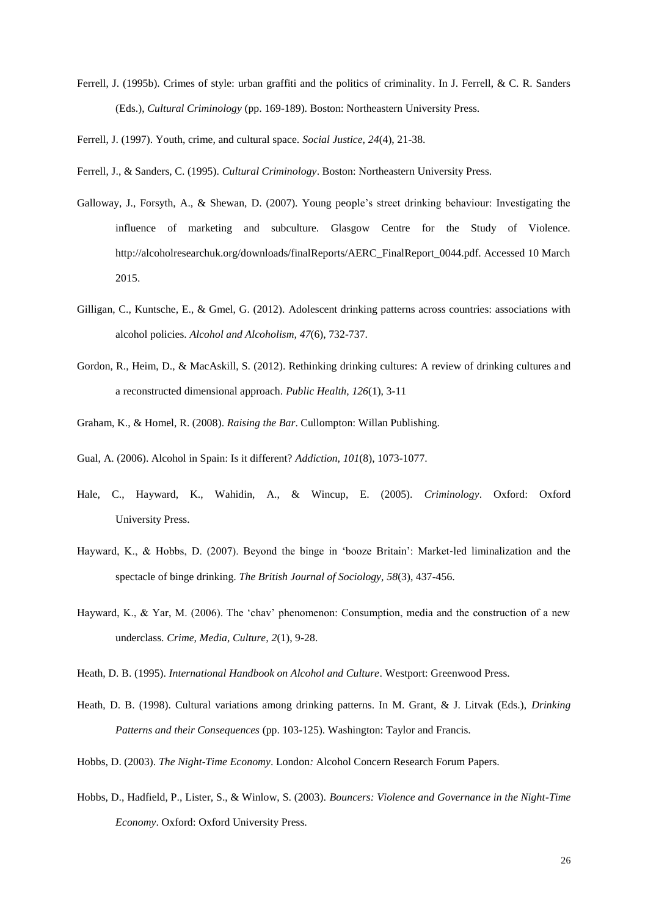Ferrell, J. (1995b). Crimes of style: urban graffiti and the politics of criminality. In J. Ferrell, & C. R. Sanders (Eds.), *Cultural Criminology* (pp. 169-189). Boston: Northeastern University Press.

Ferrell, J. (1997). Youth, crime, and cultural space. *Social Justice, 24*(4), 21-38.

Ferrell, J., & Sanders, C. (1995). *Cultural Criminology*. Boston: Northeastern University Press.

- Galloway, J., Forsyth, A., & Shewan, D. (2007). Young people's street drinking behaviour: Investigating the influence of marketing and subculture. Glasgow Centre for the Study of Violence. http://alcoholresearchuk.org/downloads/finalReports/AERC\_FinalReport\_0044.pdf. Accessed 10 March 2015.
- Gilligan, C., Kuntsche, E., & Gmel, G. (2012). Adolescent drinking patterns across countries: associations with alcohol policies. *Alcohol and Alcoholism, 47*(6), 732-737.
- Gordon, R., Heim, D., & MacAskill, S. (2012). Rethinking drinking cultures: A review of drinking cultures and a reconstructed dimensional approach. *Public Health, 126*(1), 3-11
- Graham, K., & Homel, R. (2008). *Raising the Bar*. Cullompton: Willan Publishing.
- Gual, A. (2006). Alcohol in Spain: Is it different? *Addiction, 101*(8), 1073-1077.
- Hale, C., Hayward, K., Wahidin, A., & Wincup, E. (2005). *Criminology*. Oxford: Oxford University Press.
- Hayward, K., & Hobbs, D. (2007). Beyond the binge in 'booze Britain': Market-led liminalization and the spectacle of binge drinking. *The British Journal of Sociology, 58*(3), 437-456.
- Hayward, K., & Yar, M. (2006). The 'chav' phenomenon: Consumption, media and the construction of a new underclass. *Crime, Media, Culture, 2*(1), 9-28.

Heath, D. B. (1995). *International Handbook on Alcohol and Culture*. Westport: Greenwood Press.

- Heath, D. B. (1998). Cultural variations among drinking patterns. In M. Grant, & J. Litvak (Eds.), *Drinking Patterns and their Consequences* (pp. 103-125). Washington: Taylor and Francis.
- Hobbs, D. (2003). *The Night-Time Economy*. London*:* Alcohol Concern Research Forum Papers*.*
- Hobbs, D., Hadfield, P., Lister, S., & Winlow, S. (2003). *Bouncers: Violence and Governance in the Night-Time Economy*. Oxford: Oxford University Press.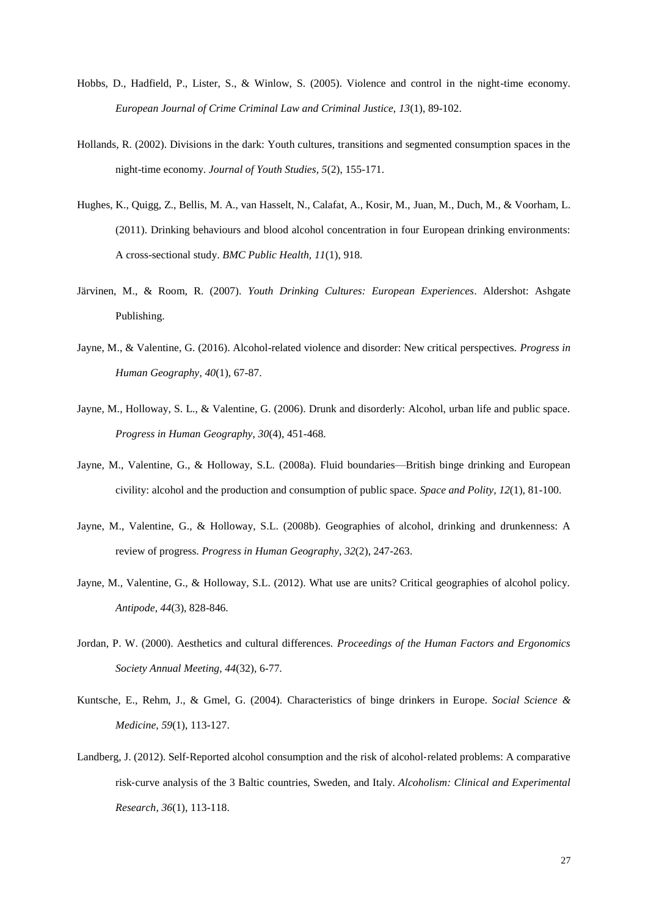- Hobbs, D., Hadfield, P., Lister, S., & Winlow, S. (2005). Violence and control in the night-time economy. *European Journal of Crime Criminal Law and Criminal Justice, 13*(1), 89-102.
- Hollands, R. (2002). Divisions in the dark: Youth cultures, transitions and segmented consumption spaces in the night-time economy. *Journal of Youth Studies, 5*(2), 155-171.
- Hughes, K., Quigg, Z., Bellis, M. A., van Hasselt, N., Calafat, A., Kosir, M., Juan, M., Duch, M., & Voorham, L. (2011). Drinking behaviours and blood alcohol concentration in four European drinking environments: A cross-sectional study. *BMC Public Health, 11*(1), 918.
- Järvinen, M., & Room, R. (2007). *Youth Drinking Cultures: European Experiences*. Aldershot: Ashgate Publishing.
- Jayne, M., & Valentine, G. (2016). Alcohol-related violence and disorder: New critical perspectives. *Progress in Human Geography*, *40*(1), 67-87.
- Jayne, M., Holloway, S. L., & Valentine, G. (2006). Drunk and disorderly: Alcohol, urban life and public space. *Progress in Human Geography*, *30*(4), 451-468.
- Jayne, M., Valentine, G., & Holloway, S.L. (2008a). Fluid boundaries—British binge drinking and European civility: alcohol and the production and consumption of public space. *Space and Polity*, *12*(1), 81-100.
- Jayne, M., Valentine, G., & Holloway, S.L. (2008b). Geographies of alcohol, drinking and drunkenness: A review of progress. *Progress in Human Geography, 32*(2), 247-263.
- Jayne, M., Valentine, G., & Holloway, S.L. (2012). What use are units? Critical geographies of alcohol policy. *Antipode*, *44*(3), 828-846.
- Jordan, P. W. (2000). Aesthetics and cultural differences. *Proceedings of the Human Factors and Ergonomics Society Annual Meeting, 44*(32)*,* 6-77*.*
- Kuntsche, E., Rehm, J., & Gmel, G. (2004). Characteristics of binge drinkers in Europe. *Social Science & Medicine, 59*(1), 113-127.
- Landberg, J. (2012). Self-Reported alcohol consumption and the risk of alcohol-related problems: A comparative risk‐curve analysis of the 3 Baltic countries, Sweden, and Italy. *Alcoholism: Clinical and Experimental Research, 36*(1), 113-118.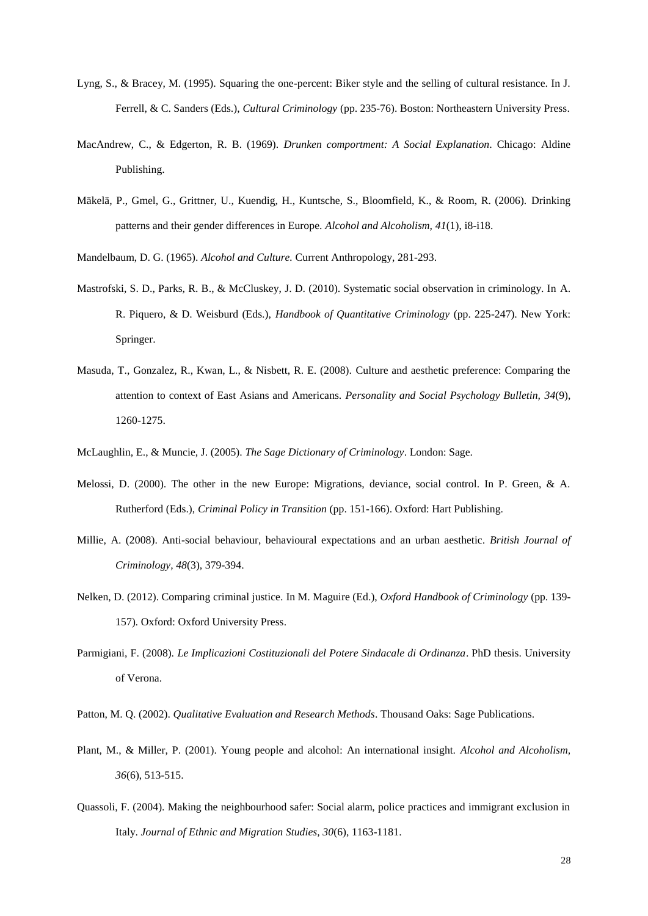- Lyng, S., & Bracey, M. (1995). Squaring the one-percent: Biker style and the selling of cultural resistance. In J. Ferrell, & C. Sanders (Eds.), *Cultural Criminology* (pp. 235-76). Boston: Northeastern University Press.
- MacAndrew, C., & Edgerton, R. B. (1969). *Drunken comportment: A Social Explanation*. Chicago: Aldine Publishing.
- Mäkelä, P., Gmel, G., Grittner, U., Kuendig, H., Kuntsche, S., Bloomfield, K., & Room, R. (2006). Drinking patterns and their gender differences in Europe. *Alcohol and Alcoholism, 41*(1), i8-i18.
- Mandelbaum, D. G. (1965). *Alcohol and Culture.* Current Anthropology, 281-293.
- Mastrofski, S. D., Parks, R. B., & McCluskey, J. D. (2010). Systematic social observation in criminology. In A. R. Piquero, & D. Weisburd (Eds.), *Handbook of Quantitative Criminology* (pp. 225-247). New York: Springer.
- Masuda, T., Gonzalez, R., Kwan, L., & Nisbett, R. E. (2008). Culture and aesthetic preference: Comparing the attention to context of East Asians and Americans. *Personality and Social Psychology Bulletin, 34*(9), 1260-1275.
- McLaughlin, E., & Muncie, J. (2005). *The Sage Dictionary of Criminology*. London: Sage.
- Melossi, D. (2000). The other in the new Europe: Migrations, deviance, social control. In P. Green, & A. Rutherford (Eds.), *Criminal Policy in Transition* (pp. 151-166). Oxford: Hart Publishing.
- Millie, A. (2008). Anti-social behaviour, behavioural expectations and an urban aesthetic*. British Journal of Criminology, 48*(3), 379-394.
- Nelken, D. (2012). Comparing criminal justice. In M. Maguire (Ed.), *Oxford Handbook of Criminology* (pp. 139- 157)*.* Oxford: Oxford University Press.
- Parmigiani, F. (2008). *Le Implicazioni Costituzionali del Potere Sindacale di Ordinanza*. PhD thesis. University of Verona.
- Patton, M. Q. (2002). *Qualitative Evaluation and Research Methods*. Thousand Oaks: Sage Publications.
- Plant, M., & Miller, P. (2001). Young people and alcohol: An international insight. *Alcohol and Alcoholism, 36*(6), 513-515.
- Quassoli, F. (2004). Making the neighbourhood safer: Social alarm, police practices and immigrant exclusion in Italy. *Journal of Ethnic and Migration Studies, 30*(6), 1163-1181.